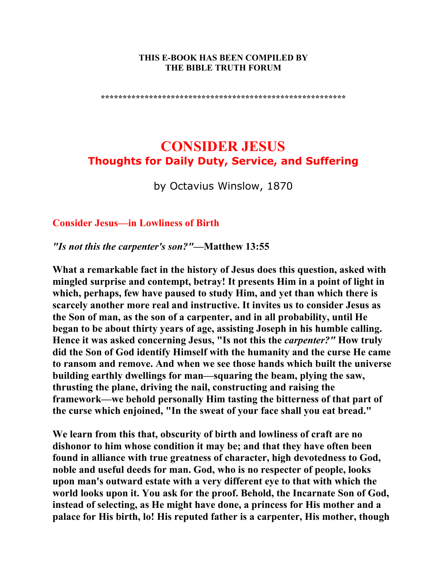#### **THIS E-BOOK HAS BEEN COMPILED BY THE BIBLE TRUTH FORUM**

**\*\*\*\*\*\*\*\*\*\*\*\*\*\*\*\*\*\*\*\*\*\*\*\*\*\*\*\*\*\*\*\*\*\*\*\*\*\*\*\*\*\*\*\*\*\*\*\*\*\*\*\*\*\*\*\*** 

# **CONSIDER JESUS Thoughts for Daily Duty, Service, and Suffering**

by Octavius Winslow, 1870

#### **Consider Jesus—in Lowliness of Birth**

*"Is not this the carpenter's son?"***—Matthew 13:55** 

**What a remarkable fact in the history of Jesus does this question, asked with mingled surprise and contempt, betray! It presents Him in a point of light in which, perhaps, few have paused to study Him, and yet than which there is scarcely another more real and instructive. It invites us to consider Jesus as the Son of man, as the son of a carpenter, and in all probability, until He began to be about thirty years of age, assisting Joseph in his humble calling. Hence it was asked concerning Jesus, "Is not this the** *carpenter?"* **How truly did the Son of God identify Himself with the humanity and the curse He came to ransom and remove. And when we see those hands which built the universe building earthly dwellings for man—squaring the beam, plying the saw, thrusting the plane, driving the nail, constructing and raising the framework—we behold personally Him tasting the bitterness of that part of the curse which enjoined, "In the sweat of your face shall you eat bread."** 

**We learn from this that, obscurity of birth and lowliness of craft are no dishonor to him whose condition it may be; and that they have often been found in alliance with true greatness of character, high devotedness to God, noble and useful deeds for man. God, who is no respecter of people, looks upon man's outward estate with a very different eye to that with which the world looks upon it. You ask for the proof. Behold, the Incarnate Son of God, instead of selecting, as He might have done, a princess for His mother and a palace for His birth, lo! His reputed father is a carpenter, His mother, though**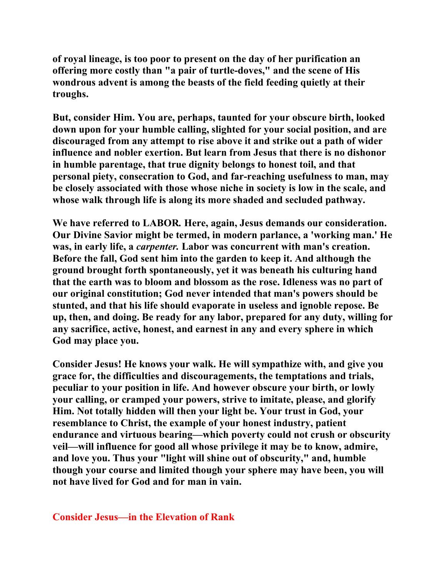**of royal lineage, is too poor to present on the day of her purification an offering more costly than "a pair of turtle-doves," and the scene of His wondrous advent is among the beasts of the field feeding quietly at their troughs.** 

**But, consider Him. You are, perhaps, taunted for your obscure birth, looked down upon for your humble calling, slighted for your social position, and are discouraged from any attempt to rise above it and strike out a path of wider influence and nobler exertion. But learn from Jesus that there is no dishonor in humble parentage, that true dignity belongs to honest toil, and that personal piety, consecration to God, and far-reaching usefulness to man, may be closely associated with those whose niche in society is low in the scale, and whose walk through life is along its more shaded and secluded pathway.** 

**We have referred to LABOR***.* **Here, again, Jesus demands our consideration. Our Divine Savior might be termed, in modern parlance, a 'working man.' He was, in early life, a** *carpenter.* **Labor was concurrent with man's creation. Before the fall, God sent him into the garden to keep it. And although the ground brought forth spontaneously, yet it was beneath his culturing hand that the earth was to bloom and blossom as the rose. Idleness was no part of our original constitution; God never intended that man's powers should be stunted, and that his life should evaporate in useless and ignoble repose. Be up, then, and doing. Be ready for any labor, prepared for any duty, willing for any sacrifice, active, honest, and earnest in any and every sphere in which God may place you.** 

**Consider Jesus! He knows your walk. He will sympathize with, and give you grace for, the difficulties and discouragements, the temptations and trials, peculiar to your position in life. And however obscure your birth, or lowly your calling, or cramped your powers, strive to imitate, please, and glorify Him. Not totally hidden will then your light be. Your trust in God, your resemblance to Christ, the example of your honest industry, patient endurance and virtuous bearing—which poverty could not crush or obscurity veil—will influence for good all whose privilege it may be to know, admire, and love you. Thus your "light will shine out of obscurity," and, humble though your course and limited though your sphere may have been, you will not have lived for God and for man in vain.** 

#### **Consider Jesus—in the Elevation of Rank**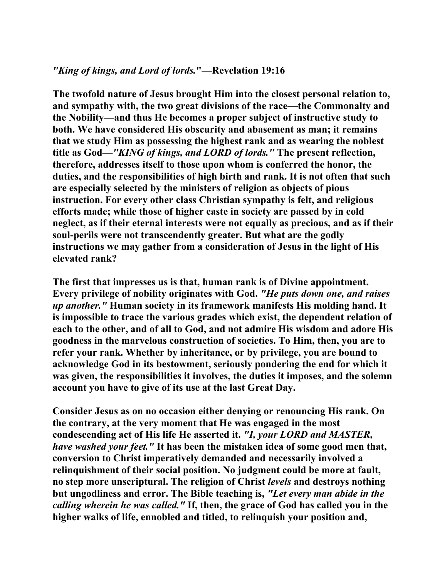# *"King of kings, and Lord of lords.***"—Revelation 19:16**

**The twofold nature of Jesus brought Him into the closest personal relation to, and sympathy with, the two great divisions of the race—the Commonalty and the Nobility—and thus He becomes a proper subject of instructive study to both. We have considered His obscurity and abasement as man; it remains that we study Him as possessing the highest rank and as wearing the noblest title as God—***"KING of kings, and LORD of lords."* **The present reflection, therefore, addresses itself to those upon whom is conferred the honor, the duties, and the responsibilities of high birth and rank. It is not often that such are especially selected by the ministers of religion as objects of pious instruction. For every other class Christian sympathy is felt, and religious efforts made; while those of higher caste in society are passed by in cold neglect, as if their eternal interests were not equally as precious, and as if their soul-perils were not transcendently greater. But what are the godly instructions we may gather from a consideration of Jesus in the light of His elevated rank?** 

**The first that impresses us is that, human rank is of Divine appointment. Every privilege of nobility originates with God.** *"He puts down one, and raises up another."* **Human society in its framework manifests His molding hand. It is impossible to trace the various grades which exist, the dependent relation of each to the other, and of all to God, and not admire His wisdom and adore His goodness in the marvelous construction of societies. To Him, then, you are to refer your rank. Whether by inheritance, or by privilege, you are bound to acknowledge God in its bestowment, seriously pondering the end for which it was given, the responsibilities it involves, the duties it imposes, and the solemn account you have to give of its use at the last Great Day.** 

**Consider Jesus as on no occasion either denying or renouncing His rank. On the contrary, at the very moment that He was engaged in the most condescending act of His life He asserted it.** *"I, your LORD and MASTER, have washed your feet."* **It has been the mistaken idea of some good men that, conversion to Christ imperatively demanded and necessarily involved a relinquishment of their social position. No judgment could be more at fault, no step more unscriptural. The religion of Christ** *levels* **and destroys nothing but ungodliness and error. The Bible teaching is,** *"Let every man abide in the calling wherein he was called."* **If, then, the grace of God has called you in the higher walks of life, ennobled and titled, to relinquish your position and,**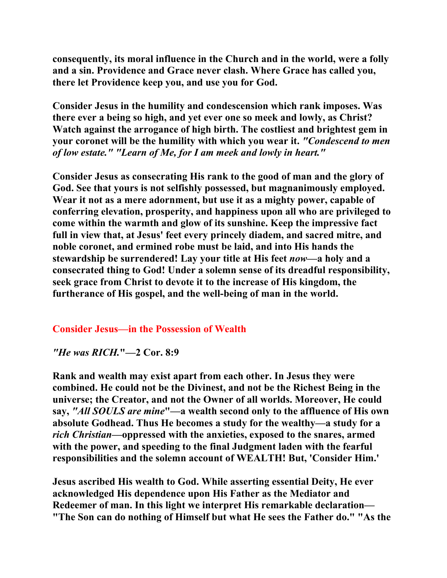**consequently, its moral influence in the Church and in the world, were a folly and a sin. Providence and Grace never clash. Where Grace has called you, there let Providence keep you, and use you for God.** 

**Consider Jesus in the humility and condescension which rank imposes. Was there ever a being so high, and yet ever one so meek and lowly, as Christ? Watch against the arrogance of high birth. The costliest and brightest gem in your coronet will be the humility with which you wear it.** *"Condescend to men of low estate." "Learn of Me, for I am meek and lowly in heart."* 

**Consider Jesus as consecrating His rank to the good of man and the glory of God. See that yours is not selfishly possessed, but magnanimously employed. Wear it not as a mere adornment, but use it as a mighty power, capable of conferring elevation, prosperity, and happiness upon all who are privileged to come within the warmth and glow of its sunshine. Keep the impressive fact full in view that, at Jesus' feet every princely diadem, and sacred mitre, and noble coronet, and ermined robe must be laid, and into His hands the stewardship be surrendered! Lay your title at His feet** *now***—a holy and a consecrated thing to God! Under a solemn sense of its dreadful responsibility, seek grace from Christ to devote it to the increase of His kingdom, the furtherance of His gospel, and the well-being of man in the world.** 

# **Consider Jesus—in the Possession of Wealth**

#### *"He was RICH.***"—2 Cor. 8:9**

**Rank and wealth may exist apart from each other. In Jesus they were combined. He could not be the Divinest, and not be the Richest Being in the universe; the Creator, and not the Owner of all worlds. Moreover, He could say,** *"All SOULS are mine***"—a wealth second only to the affluence of His own absolute Godhead. Thus He becomes a study for the wealthy—a study for a**  *rich Christian***—oppressed with the anxieties, exposed to the snares, armed with the power, and speeding to the final Judgment laden with the fearful responsibilities and the solemn account of WEALTH! But, 'Consider Him.'** 

**Jesus ascribed His wealth to God. While asserting essential Deity, He ever acknowledged His dependence upon His Father as the Mediator and Redeemer of man. In this light we interpret His remarkable declaration— "The Son can do nothing of Himself but what He sees the Father do." "As the**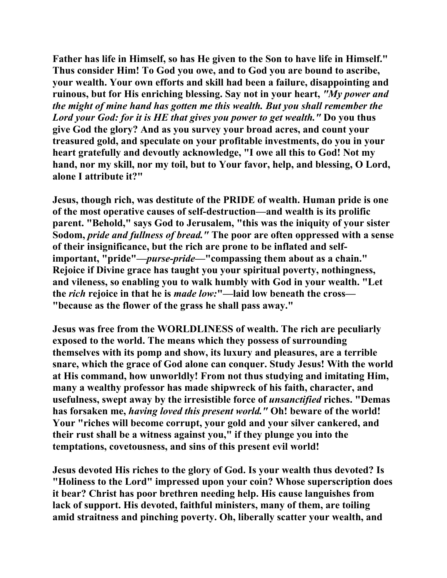**Father has life in Himself, so has He given to the Son to have life in Himself." Thus consider Him! To God you owe, and to God you are bound to ascribe, your wealth. Your own efforts and skill had been a failure, disappointing and ruinous, but for His enriching blessing. Say not in your heart,** *"My power and the might of mine hand has gotten me this wealth. But you shall remember the Lord your God: for it is HE that gives you power to get wealth."* **Do you thus give God the glory? And as you survey your broad acres, and count your treasured gold, and speculate on your profitable investments, do you in your heart gratefully and devoutly acknowledge, "I owe all this to God! Not my hand, nor my skill, nor my toil, but to Your favor, help, and blessing, O Lord, alone I attribute it?"** 

**Jesus, though rich, was destitute of the PRIDE of wealth. Human pride is one of the most operative causes of self-destruction—and wealth is its prolific parent. "Behold," says God to Jerusalem, "this was the iniquity of your sister Sodom,** *pride and fullness of bread."* **The poor are often oppressed with a sense of their insignificance, but the rich are prone to be inflated and selfimportant, "pride"—***purse-pride***—"compassing them about as a chain." Rejoice if Divine grace has taught you your spiritual poverty, nothingness, and vileness, so enabling you to walk humbly with God in your wealth. "Let the** *rich* **rejoice in that he is** *made low:***"—laid low beneath the cross— "because as the flower of the grass he shall pass away."** 

**Jesus was free from the WORLDLINESS of wealth. The rich are peculiarly exposed to the world. The means which they possess of surrounding themselves with its pomp and show, its luxury and pleasures, are a terrible snare, which the grace of God alone can conquer. Study Jesus! With the world at His command, how unworldly! From not thus studying and imitating Him, many a wealthy professor has made shipwreck of his faith, character, and usefulness, swept away by the irresistible force of** *unsanctified* **riches. "Demas has forsaken me,** *having loved this present world."* **Oh! beware of the world! Your "riches will become corrupt, your gold and your silver cankered, and their rust shall be a witness against you," if they plunge you into the temptations, covetousness, and sins of this present evil world!** 

**Jesus devoted His riches to the glory of God. Is your wealth thus devoted? Is "Holiness to the Lord" impressed upon your coin? Whose superscription does it bear? Christ has poor brethren needing help. His cause languishes from lack of support. His devoted, faithful ministers, many of them, are toiling amid straitness and pinching poverty. Oh, liberally scatter your wealth, and**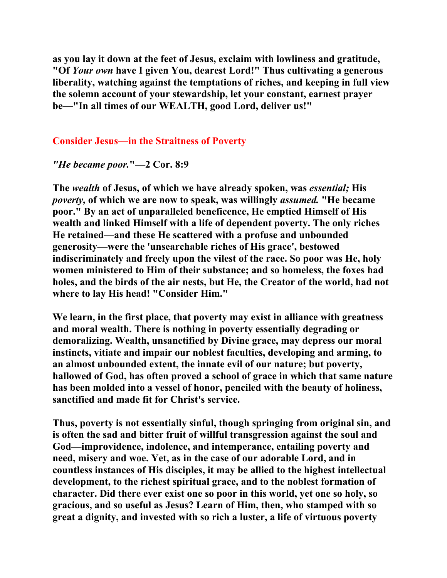**as you lay it down at the feet of Jesus, exclaim with lowliness and gratitude, "Of** *Your own* **have I given You, dearest Lord!" Thus cultivating a generous liberality, watching against the temptations of riches, and keeping in full view the solemn account of your stewardship, let your constant, earnest prayer be—"In all times of our WEALTH, good Lord, deliver us!"** 

# **Consider Jesus—in the Straitness of Poverty**

*"He became poor.***"—2 Cor. 8:9** 

**The** *wealth* **of Jesus, of which we have already spoken, was** *essential;* **His**  *poverty,* **of which we are now to speak, was willingly** *assumed.* **"He became poor." By an act of unparalleled beneficence, He emptied Himself of His wealth and linked Himself with a life of dependent poverty. The only riches He retained—and these He scattered with a profuse and unbounded generosity—were the 'unsearchable riches of His grace', bestowed indiscriminately and freely upon the vilest of the race. So poor was He, holy women ministered to Him of their substance; and so homeless, the foxes had holes, and the birds of the air nests, but He, the Creator of the world, had not where to lay His head! "Consider Him."** 

**We learn, in the first place, that poverty may exist in alliance with greatness and moral wealth. There is nothing in poverty essentially degrading or demoralizing. Wealth, unsanctified by Divine grace, may depress our moral instincts, vitiate and impair our noblest faculties, developing and arming, to an almost unbounded extent, the innate evil of our nature; but poverty, hallowed of God, has often proved a school of grace in which that same nature has been molded into a vessel of honor, penciled with the beauty of holiness, sanctified and made fit for Christ's service.** 

**Thus, poverty is not essentially sinful, though springing from original sin, and is often the sad and bitter fruit of willful transgression against the soul and God—improvidence, indolence, and intemperance, entailing poverty and need, misery and woe. Yet, as in the case of our adorable Lord, and in countless instances of His disciples, it may be allied to the highest intellectual development, to the richest spiritual grace, and to the noblest formation of character. Did there ever exist one so poor in this world, yet one so holy, so gracious, and so useful as Jesus? Learn of Him, then, who stamped with so great a dignity, and invested with so rich a luster, a life of virtuous poverty**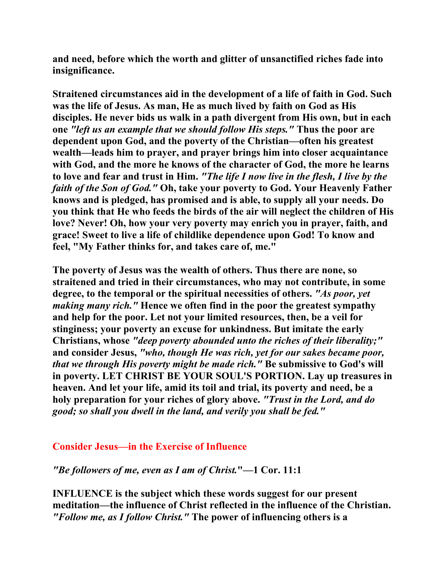**and need, before which the worth and glitter of unsanctified riches fade into insignificance.** 

**Straitened circumstances aid in the development of a life of faith in God. Such was the life of Jesus. As man, He as much lived by faith on God as His disciples. He never bids us walk in a path divergent from His own, but in each one** *"left us an example that we should follow His steps."* **Thus the poor are dependent upon God, and the poverty of the Christian—often his greatest wealth—leads him to prayer, and prayer brings him into closer acquaintance with God, and the more he knows of the character of God, the more he learns to love and fear and trust in Him.** *"The life I now live in the flesh, I live by the faith of the Son of God."* **Oh, take your poverty to God. Your Heavenly Father knows and is pledged, has promised and is able, to supply all your needs. Do you think that He who feeds the birds of the air will neglect the children of His love? Never! Oh, how your very poverty may enrich you in prayer, faith, and grace! Sweet to live a life of childlike dependence upon God! To know and feel, "My Father thinks for, and takes care of, me."** 

**The poverty of Jesus was the wealth of others. Thus there are none, so straitened and tried in their circumstances, who may not contribute, in some degree, to the temporal or the spiritual necessities of others.** *"As poor, yet making many rich."* **Hence we often find in the poor the greatest sympathy and help for the poor. Let not your limited resources, then, be a veil for stinginess; your poverty an excuse for unkindness. But imitate the early Christians, whose** *"deep poverty abounded unto the riches of their liberality;"*  **and consider Jesus,** *"who, though He was rich, yet for our sakes became poor, that we through His poverty might be made rich."* **Be submissive to God's will in poverty. LET CHRIST BE YOUR SOUL'S PORTION. Lay up treasures in heaven. And let your life, amid its toil and trial, its poverty and need, be a holy preparation for your riches of glory above.** *"Trust in the Lord, and do good; so shall you dwell in the land, and verily you shall be fed."* 

# **Consider Jesus—in the Exercise of Influence**

# *"Be followers of me, even as I am of Christ.***"—1 Cor. 11:1**

**INFLUENCE is the subject which these words suggest for our present meditation—the influence of Christ reflected in the influence of the Christian.**  *"Follow me, as I follow Christ."* **The power of influencing others is a**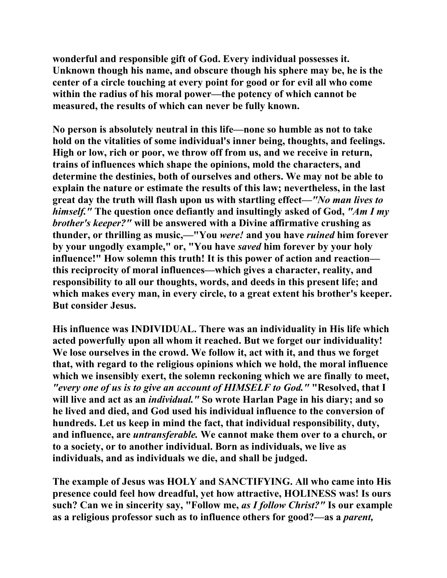**wonderful and responsible gift of God. Every individual possesses it. Unknown though his name, and obscure though his sphere may be, he is the center of a circle touching at every point for good or for evil all who come within the radius of his moral power—the potency of which cannot be measured, the results of which can never be fully known.** 

**No person is absolutely neutral in this life—none so humble as not to take hold on the vitalities of some individual's inner being, thoughts, and feelings. High or low, rich or poor, we throw off from us, and we receive in return, trains of influences which shape the opinions, mold the characters, and determine the destinies, both of ourselves and others. We may not be able to explain the nature or estimate the results of this law; nevertheless, in the last great day the truth will flash upon us with startling effect—***"No man lives to himself."* **The question once defiantly and insultingly asked of God,** *"Am I my brother's keeper?"* **will be answered with a Divine affirmative crushing as thunder, or thrilling as music,—"You** *were!* **and you have** *ruined* **him forever by your ungodly example," or, "You have** *saved* **him forever by your holy influence!" How solemn this truth! It is this power of action and reaction this reciprocity of moral influences—which gives a character, reality, and responsibility to all our thoughts, words, and deeds in this present life; and which makes every man, in every circle, to a great extent his brother's keeper. But consider Jesus.** 

**His influence was INDIVIDUAL. There was an individuality in His life which acted powerfully upon all whom it reached. But we forget our individuality! We lose ourselves in the crowd. We follow it, act with it, and thus we forget that, with regard to the religious opinions which we hold, the moral influence which we insensibly exert, the solemn reckoning which we are finally to meet,** *"every one of us is to give an account of HIMSELF to God."* **"Resolved, that I will live and act as an** *individual."* **So wrote Harlan Page in his diary; and so he lived and died, and God used his individual influence to the conversion of hundreds. Let us keep in mind the fact, that individual responsibility, duty, and influence, are** *untransferable.* **We cannot make them over to a church, or to a society, or to another individual. Born as individuals, we live as individuals, and as individuals we die, and shall be judged.** 

**The example of Jesus was HOLY and SANCTIFYING. All who came into His presence could feel how dreadful, yet how attractive, HOLINESS was! Is ours such? Can we in sincerity say, "Follow me,** *as I follow Christ?"* **Is our example as a religious professor such as to influence others for good?—as a** *parent,*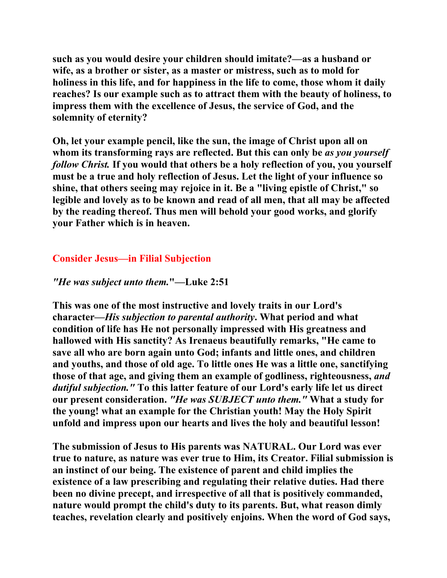**such as you would desire your children should imitate?—as a husband or wife, as a brother or sister, as a master or mistress, such as to mold for holiness in this life, and for happiness in the life to come, those whom it daily reaches? Is our example such as to attract them with the beauty of holiness, to impress them with the excellence of Jesus, the service of God, and the solemnity of eternity?** 

**Oh, let your example pencil, like the sun, the image of Christ upon all on whom its transforming rays are reflected. But this can only be** *as you yourself follow Christ.* **If you would that others be a holy reflection of you, you yourself must be a true and holy reflection of Jesus. Let the light of your influence so shine, that others seeing may rejoice in it. Be a "living epistle of Christ," so legible and lovely as to be known and read of all men, that all may be affected by the reading thereof. Thus men will behold your good works, and glorify your Father which is in heaven.** 

# **Consider Jesus—in Filial Subjection**

# *"He was subject unto them.***"—Luke 2:51**

**This was one of the most instructive and lovely traits in our Lord's character—***His subjection to parental authority***. What period and what condition of life has He not personally impressed with His greatness and hallowed with His sanctity? As Irenaeus beautifully remarks, "He came to save all who are born again unto God; infants and little ones, and children and youths, and those of old age. To little ones He was a little one, sanctifying those of that age, and giving them an example of godliness, righteousness,** *and dutiful subjection."* **To this latter feature of our Lord's early life let us direct our present consideration.** *"He was SUBJECT unto them."* **What a study for the young! what an example for the Christian youth! May the Holy Spirit unfold and impress upon our hearts and lives the holy and beautiful lesson!** 

**The submission of Jesus to His parents was NATURAL. Our Lord was ever true to nature, as nature was ever true to Him, its Creator. Filial submission is an instinct of our being. The existence of parent and child implies the existence of a law prescribing and regulating their relative duties. Had there been no divine precept, and irrespective of all that is positively commanded, nature would prompt the child's duty to its parents. But, what reason dimly teaches, revelation clearly and positively enjoins. When the word of God says,**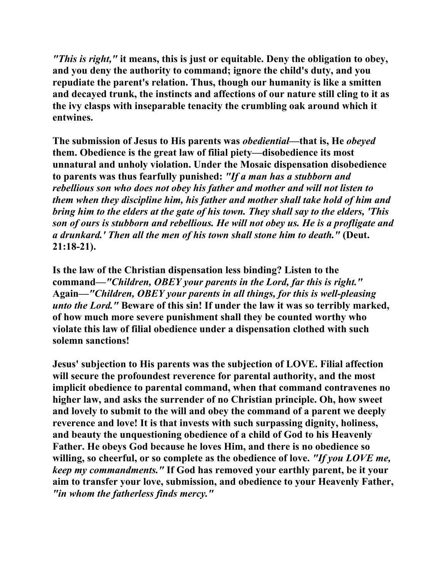*"This is right,"* **it means, this is just or equitable. Deny the obligation to obey, and you deny the authority to command; ignore the child's duty, and you repudiate the parent's relation. Thus, though our humanity is like a smitten and decayed trunk, the instincts and affections of our nature still cling to it as the ivy clasps with inseparable tenacity the crumbling oak around which it entwines.** 

**The submission of Jesus to His parents was** *obediential***—that is, He** *obeyed*  **them. Obedience is the great law of filial piety—disobedience its most unnatural and unholy violation. Under the Mosaic dispensation disobedience to parents was thus fearfully punished:** *"If a man has a stubborn and rebellious son who does not obey his father and mother and will not listen to them when they discipline him, his father and mother shall take hold of him and bring him to the elders at the gate of his town. They shall say to the elders, 'This son of ours is stubborn and rebellious. He will not obey us. He is a profligate and a drunkard.' Then all the men of his town shall stone him to death."* **(Deut. 21:18-21).** 

**Is the law of the Christian dispensation less binding? Listen to the command—***"Children, OBEY your parents in the Lord, far this is right."*  **Again—***"Children, OBEY your parents in all things, for this is well-pleasing unto the Lord."* **Beware of this sin! If under the law it was so terribly marked, of how much more severe punishment shall they be counted worthy who violate this law of filial obedience under a dispensation clothed with such solemn sanctions!** 

**Jesus' subjection to His parents was the subjection of LOVE. Filial affection will secure the profoundest reverence for parental authority, and the most implicit obedience to parental command, when that command contravenes no higher law, and asks the surrender of no Christian principle. Oh, how sweet and lovely to submit to the will and obey the command of a parent we deeply reverence and love! It is that invests with such surpassing dignity, holiness, and beauty the unquestioning obedience of a child of God to his Heavenly Father. He obeys God because he loves Him, and there is no obedience so willing, so cheerful, or so complete as the obedience of love.** *"If you LOVE me, keep my commandments."* **If God has removed your earthly parent, be it your aim to transfer your love, submission, and obedience to your Heavenly Father,**  *"in whom the fatherless finds mercy."*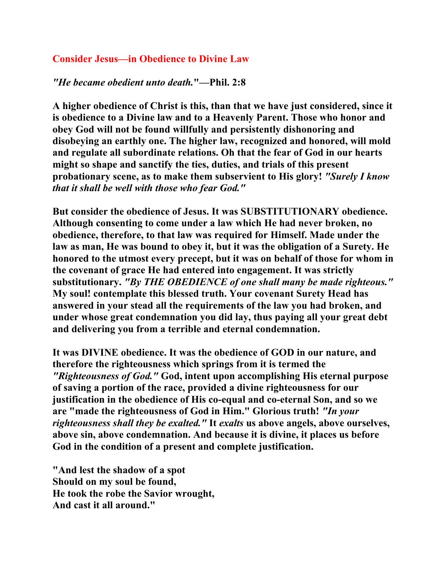# **Consider Jesus—in Obedience to Divine Law**

#### *"He became obedient unto death.***"—Phil. 2:8**

**A higher obedience of Christ is this, than that we have just considered, since it is obedience to a Divine law and to a Heavenly Parent. Those who honor and obey God will not be found willfully and persistently dishonoring and disobeying an earthly one. The higher law, recognized and honored, will mold and regulate all subordinate relations. Oh that the fear of God in our hearts might so shape and sanctify the ties, duties, and trials of this present probationary scene, as to make them subservient to His glory!** *"Surely I know that it shall be well with those who fear God."* 

**But consider the obedience of Jesus. It was SUBSTITUTIONARY obedience. Although consenting to come under a law which He had never broken, no obedience, therefore, to that law was required for Himself. Made under the law as man, He was bound to obey it, but it was the obligation of a Surety. He honored to the utmost every precept, but it was on behalf of those for whom in the covenant of grace He had entered into engagement. It was strictly substitutionary.** *"By THE OBEDIENCE of one shall many be made righteous."*  **My soul! contemplate this blessed truth. Your covenant Surety Head has answered in your stead all the requirements of the law you had broken, and under whose great condemnation you did lay, thus paying all your great debt and delivering you from a terrible and eternal condemnation.** 

**It was DIVINE obedience. It was the obedience of GOD in our nature, and therefore the righteousness which springs from it is termed the**  *"Righteousness of God."* **God, intent upon accomplishing His eternal purpose of saving a portion of the race, provided a divine righteousness for our justification in the obedience of His co-equal and co-eternal Son, and so we are "made the righteousness of God in Him." Glorious truth!** *"In your righteousness shall they be exalted."* **It** *exalts* **us above angels, above ourselves, above sin, above condemnation. And because it is divine, it places us before God in the condition of a present and complete justification.** 

**"And lest the shadow of a spot Should on my soul be found, He took the robe the Savior wrought, And cast it all around."**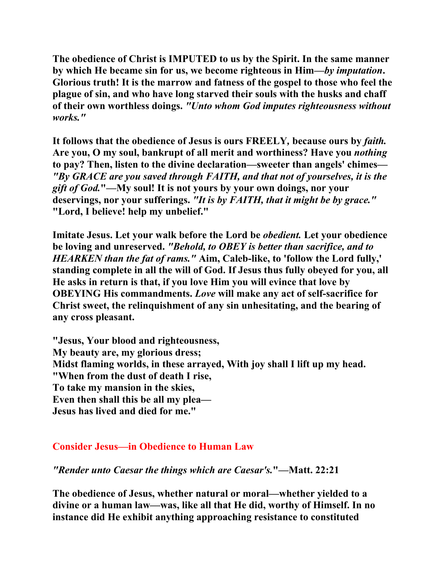**The obedience of Christ is IMPUTED to us by the Spirit. In the same manner by which He became sin for us, we become righteous in Him—***by imputation***. Glorious truth! It is the marrow and fatness of the gospel to those who feel the plague of sin, and who have long starved their souls with the husks and chaff of their own worthless doings.** *"Unto whom God imputes righteousness without works."* 

**It follows that the obedience of Jesus is ours FREELY***,* **because ours by** *faith.* **Are you, O my soul, bankrupt of all merit and worthiness? Have you** *nothing*  **to pay? Then, listen to the divine declaration—sweeter than angels' chimes—** *"By GRACE are you saved through FAITH, and that not of yourselves, it is the gift of God.***"—My soul! It is not yours by your own doings, nor your deservings, nor your sufferings.** *"It is by FAITH, that it might be by grace."* **"Lord, I believe! help my unbelief."** 

**Imitate Jesus. Let your walk before the Lord be** *obedient.* **Let your obedience be loving and unreserved.** *"Behold, to OBEY is better than sacrifice, and to HEARKEN than the fat of rams."* **Aim, Caleb-like, to 'follow the Lord fully,' standing complete in all the will of God. If Jesus thus fully obeyed for you, all He asks in return is that, if you love Him you will evince that love by OBEYING His commandments.** *Love* **will make any act of self-sacrifice for Christ sweet, the relinquishment of any sin unhesitating, and the bearing of any cross pleasant.** 

**"Jesus, Your blood and righteousness, My beauty are, my glorious dress; Midst flaming worlds, in these arrayed, With joy shall I lift up my head. "When from the dust of death I rise, To take my mansion in the skies, Even then shall this be all my plea— Jesus has lived and died for me."** 

# **Consider Jesus—in Obedience to Human Law**

*"Render unto Caesar the things which are Caesar's.***"—Matt. 22:21** 

**The obedience of Jesus, whether natural or moral—whether yielded to a divine or a human law—was, like all that He did, worthy of Himself. In no instance did He exhibit anything approaching resistance to constituted**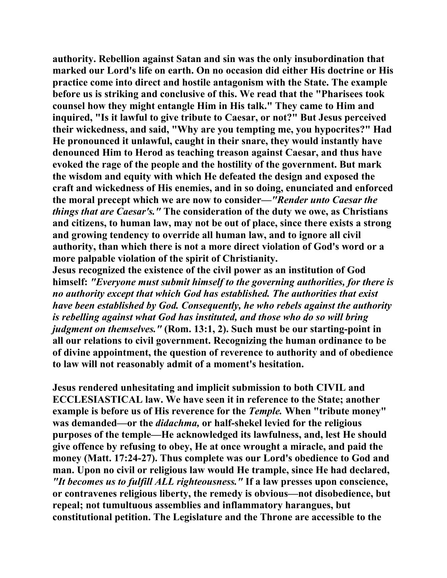**authority. Rebellion against Satan and sin was the only insubordination that marked our Lord's life on earth. On no occasion did either His doctrine or His practice come into direct and hostile antagonism with the State. The example before us is striking and conclusive of this. We read that the "Pharisees took counsel how they might entangle Him in His talk." They came to Him and inquired, "Is it lawful to give tribute to Caesar, or not?" But Jesus perceived their wickedness, and said, "Why are you tempting me, you hypocrites?" Had He pronounced it unlawful, caught in their snare, they would instantly have denounced Him to Herod as teaching treason against Caesar, and thus have evoked the rage of the people and the hostility of the government. But mark the wisdom and equity with which He defeated the design and exposed the craft and wickedness of His enemies, and in so doing, enunciated and enforced the moral precept which we are now to consider—***"Render unto Caesar the things that are Caesar's."* **The consideration of the duty we owe, as Christians and citizens, to human law, may not be out of place, since there exists a strong and growing tendency to override all human law, and to ignore all civil authority, than which there is not a more direct violation of God's word or a more palpable violation of the spirit of Christianity.** 

**Jesus recognized the existence of the civil power as an institution of God himself:** *"Everyone must submit himself to the governing authorities, for there is no authority except that which God has established. The authorities that exist have been established by God. Consequently, he who rebels against the authority is rebelling against what God has instituted, and those who do so will bring judgment on themselves."* **(Rom. 13:1, 2). Such must be our starting-point in all our relations to civil government. Recognizing the human ordinance to be of divine appointment, the question of reverence to authority and of obedience to law will not reasonably admit of a moment's hesitation.** 

**Jesus rendered unhesitating and implicit submission to both CIVIL and ECCLESIASTICAL law. We have seen it in reference to the State; another example is before us of His reverence for the** *Temple.* **When "tribute money" was demanded—or the** *didachma,* **or half-shekel levied for the religious purposes of the temple—He acknowledged its lawfulness, and, lest He should give offence by refusing to obey, He at once wrought a miracle, and paid the money (Matt. 17:24-27). Thus complete was our Lord's obedience to God and man. Upon no civil or religious law would He trample, since He had declared,**  *"It becomes us to fulfill ALL righteousness."* **If a law presses upon conscience, or contravenes religious liberty, the remedy is obvious—not disobedience, but repeal; not tumultuous assemblies and inflammatory harangues, but constitutional petition. The Legislature and the Throne are accessible to the**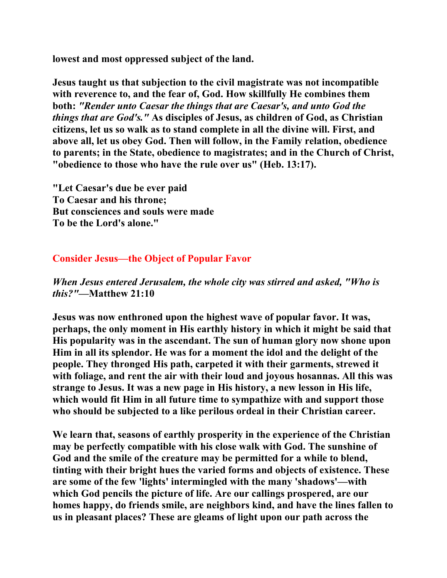**lowest and most oppressed subject of the land.** 

**Jesus taught us that subjection to the civil magistrate was not incompatible with reverence to, and the fear of, God. How skillfully He combines them both:** *"Render unto Caesar the things that are Caesar's, and unto God the things that are God's."* **As disciples of Jesus, as children of God, as Christian citizens, let us so walk as to stand complete in all the divine will. First, and above all, let us obey God. Then will follow, in the Family relation, obedience to parents; in the State, obedience to magistrates; and in the Church of Christ, "obedience to those who have the rule over us" (Heb. 13:17).** 

**"Let Caesar's due be ever paid To Caesar and his throne; But consciences and souls were made To be the Lord's alone."** 

# **Consider Jesus—the Object of Popular Favor**

*When Jesus entered Jerusalem, the whole city was stirred and asked, "Who is this?"***—Matthew 21:10** 

**Jesus was now enthroned upon the highest wave of popular favor. It was, perhaps, the only moment in His earthly history in which it might be said that His popularity was in the ascendant. The sun of human glory now shone upon Him in all its splendor. He was for a moment the idol and the delight of the people. They thronged His path, carpeted it with their garments, strewed it with foliage, and rent the air with their loud and joyous hosannas. All this was strange to Jesus. It was a new page in His history, a new lesson in His life, which would fit Him in all future time to sympathize with and support those who should be subjected to a like perilous ordeal in their Christian career.** 

**We learn that, seasons of earthly prosperity in the experience of the Christian may be perfectly compatible with his close walk with God. The sunshine of God and the smile of the creature may be permitted for a while to blend, tinting with their bright hues the varied forms and objects of existence. These are some of the few 'lights' intermingled with the many 'shadows'—with which God pencils the picture of life. Are our callings prospered, are our homes happy, do friends smile, are neighbors kind, and have the lines fallen to us in pleasant places? These are gleams of light upon our path across the**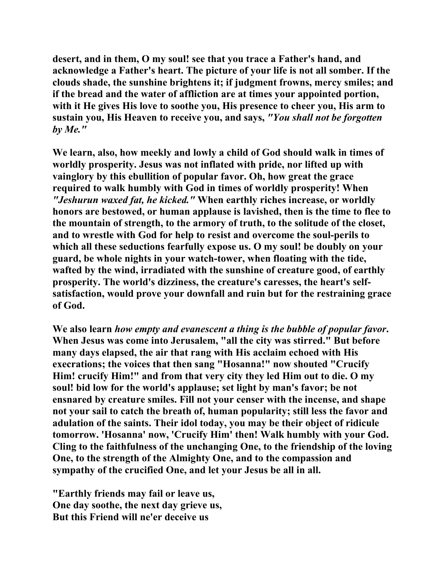**desert, and in them, O my soul! see that you trace a Father's hand, and acknowledge a Father's heart. The picture of your life is not all somber. If the clouds shade, the sunshine brightens it; if judgment frowns, mercy smiles; and if the bread and the water of affliction are at times your appointed portion, with it He gives His love to soothe you, His presence to cheer you, His arm to sustain you, His Heaven to receive you, and says,** *"You shall not be forgotten by Me."* 

**We learn, also, how meekly and lowly a child of God should walk in times of worldly prosperity. Jesus was not inflated with pride, nor lifted up with vainglory by this ebullition of popular favor. Oh, how great the grace required to walk humbly with God in times of worldly prosperity! When** *"Jeshurun waxed fat, he kicked."* **When earthly riches increase, or worldly honors are bestowed, or human applause is lavished, then is the time to flee to the mountain of strength, to the armory of truth, to the solitude of the closet, and to wrestle with God for help to resist and overcome the soul-perils to which all these seductions fearfully expose us. O my soul! be doubly on your guard, be whole nights in your watch-tower, when floating with the tide, wafted by the wind, irradiated with the sunshine of creature good, of earthly prosperity. The world's dizziness, the creature's caresses, the heart's selfsatisfaction, would prove your downfall and ruin but for the restraining grace of God.** 

**We also learn** *how empty and evanescent a thing is the bubble of popular favor***. When Jesus was come into Jerusalem, "all the city was stirred." But before many days elapsed, the air that rang with His acclaim echoed with His execrations; the voices that then sang "Hosanna!" now shouted "Crucify Him! crucify Him!" and from that very city they led Him out to die. O my soul! bid low for the world's applause; set light by man's favor; be not ensnared by creature smiles. Fill not your censer with the incense, and shape not your sail to catch the breath of, human popularity; still less the favor and adulation of the saints. Their idol today, you may be their object of ridicule tomorrow. 'Hosanna' now, 'Crucify Him' then! Walk humbly with your God. Cling to the faithfulness of the unchanging One, to the friendship of the loving One, to the strength of the Almighty One, and to the compassion and sympathy of the crucified One, and let your Jesus be all in all.** 

**"Earthly friends may fail or leave us, One day soothe, the next day grieve us, But this Friend will ne'er deceive us**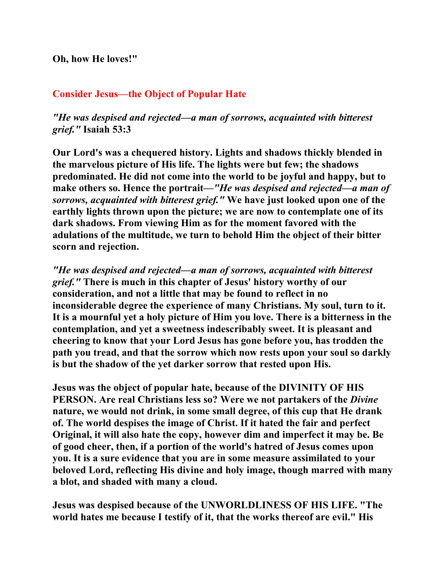**Oh, how He loves!"** 

# **Consider Jesus—the Object of Popular Hate**

*"He was despised and rejected—a man of sorrows, acquainted with bitterest grief."* **Isaiah 53:3** 

**Our Lord's was a chequered history. Lights and shadows thickly blended in the marvelous picture of His life. The lights were but few; the shadows predominated. He did not come into the world to be joyful and happy, but to make others so. Hence the portrait—***"He was despised and rejected—a man of sorrows, acquainted with bitterest grief."* **We have just looked upon one of the earthly lights thrown upon the picture; we are now to contemplate one of its dark shadows. From viewing Him as for the moment favored with the adulations of the multitude, we turn to behold Him the object of their bitter scorn and rejection.** 

*"He was despised and rejected—a man of sorrows, acquainted with bitterest grief."* **There is much in this chapter of Jesus' history worthy of our consideration, and not a little that may be found to reflect in no inconsiderable degree the experience of many Christians. My soul, turn to it. It is a mournful yet a holy picture of Him you love. There is a bitterness in the contemplation, and yet a sweetness indescribably sweet. It is pleasant and cheering to know that your Lord Jesus has gone before you, has trodden the path you tread, and that the sorrow which now rests upon your soul so darkly is but the shadow of the yet darker sorrow that rested upon His.** 

**Jesus was the object of popular hate, because of the DIVINITY OF HIS PERSON. Are real Christians less so? Were we not partakers of the** *Divine*  **nature, we would not drink, in some small degree, of this cup that He drank of. The world despises the image of Christ. If it hated the fair and perfect Original, it will also hate the copy, however dim and imperfect it may be. Be of good cheer, then, if a portion of the world's hatred of Jesus comes upon you. It is a sure evidence that you are in some measure assimilated to your beloved Lord, reflecting His divine and holy image, though marred with many a blot, and shaded with many a cloud.** 

**Jesus was despised because of the UNWORLDLINESS OF HIS LIFE. "The world hates me because I testify of it, that the works thereof are evil." His**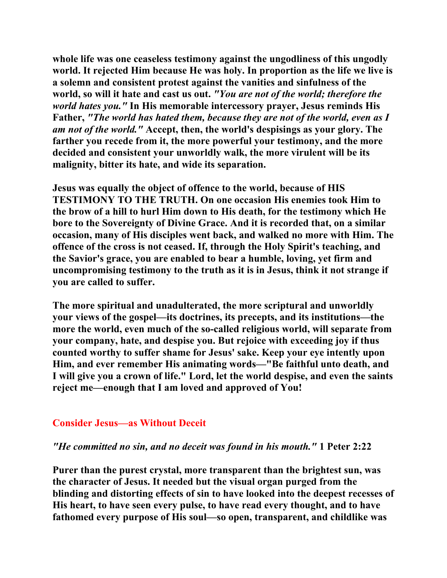**whole life was one ceaseless testimony against the ungodliness of this ungodly world. It rejected Him because He was holy. In proportion as the life we live is a solemn and consistent protest against the vanities and sinfulness of the world, so will it hate and cast us out.** *"You are not of the world; therefore the world hates you."* **In His memorable intercessory prayer, Jesus reminds His Father,** *"The world has hated them, because they are not of the world, even as I am not of the world."* **Accept, then, the world's despisings as your glory. The farther you recede from it, the more powerful your testimony, and the more decided and consistent your unworldly walk, the more virulent will be its malignity, bitter its hate, and wide its separation.** 

**Jesus was equally the object of offence to the world, because of HIS TESTIMONY TO THE TRUTH. On one occasion His enemies took Him to the brow of a hill to hurl Him down to His death, for the testimony which He bore to the Sovereignty of Divine Grace. And it is recorded that, on a similar occasion, many of His disciples went back, and walked no more with Him. The offence of the cross is not ceased. If, through the Holy Spirit's teaching, and the Savior's grace, you are enabled to bear a humble, loving, yet firm and uncompromising testimony to the truth as it is in Jesus, think it not strange if you are called to suffer.** 

**The more spiritual and unadulterated, the more scriptural and unworldly your views of the gospel—its doctrines, its precepts, and its institutions—the more the world, even much of the so-called religious world, will separate from your company, hate, and despise you. But rejoice with exceeding joy if thus counted worthy to suffer shame for Jesus' sake. Keep your eye intently upon Him, and ever remember His animating words—"Be faithful unto death, and I will give you a crown of life." Lord, let the world despise, and even the saints reject me—enough that I am loved and approved of You!** 

#### **Consider Jesus—as Without Deceit**

#### *"He committed no sin, and no deceit was found in his mouth."* **1 Peter 2:22**

**Purer than the purest crystal, more transparent than the brightest sun, was the character of Jesus. It needed but the visual organ purged from the blinding and distorting effects of sin to have looked into the deepest recesses of His heart, to have seen every pulse, to have read every thought, and to have fathomed every purpose of His soul—so open, transparent, and childlike was**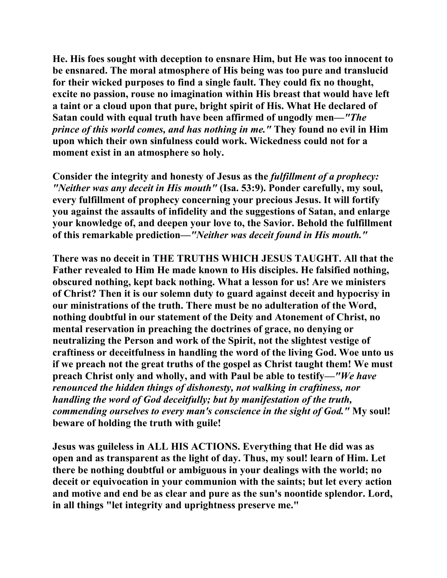**He. His foes sought with deception to ensnare Him, but He was too innocent to be ensnared. The moral atmosphere of His being was too pure and translucid for their wicked purposes to find a single fault. They could fix no thought, excite no passion, rouse no imagination within His breast that would have left a taint or a cloud upon that pure, bright spirit of His. What He declared of Satan could with equal truth have been affirmed of ungodly men—***"The prince of this world comes, and has nothing in me."* **They found no evil in Him upon which their own sinfulness could work. Wickedness could not for a moment exist in an atmosphere so holy.** 

**Consider the integrity and honesty of Jesus as the** *fulfillment of a prophecy: "Neither was any deceit in His mouth"* **(Isa. 53:9). Ponder carefully, my soul, every fulfillment of prophecy concerning your precious Jesus. It will fortify you against the assaults of infidelity and the suggestions of Satan, and enlarge your knowledge of, and deepen your love to, the Savior. Behold the fulfillment of this remarkable prediction—***"Neither was deceit found in His mouth."* 

**There was no deceit in THE TRUTHS WHICH JESUS TAUGHT. All that the Father revealed to Him He made known to His disciples. He falsified nothing, obscured nothing, kept back nothing. What a lesson for us! Are we ministers of Christ? Then it is our solemn duty to guard against deceit and hypocrisy in our ministrations of the truth. There must be no adulteration of the Word, nothing doubtful in our statement of the Deity and Atonement of Christ, no mental reservation in preaching the doctrines of grace, no denying or neutralizing the Person and work of the Spirit, not the slightest vestige of craftiness or deceitfulness in handling the word of the living God. Woe unto us if we preach not the great truths of the gospel as Christ taught them! We must preach Christ only and wholly, and with Paul be able to testify—***"We have renounced the hidden things of dishonesty, not walking in craftiness, nor handling the word of God deceitfully; but by manifestation of the truth, commending ourselves to every man's conscience in the sight of God."* **My soul! beware of holding the truth with guile!** 

**Jesus was guileless in ALL HIS ACTIONS. Everything that He did was as open and as transparent as the light of day. Thus, my soul! learn of Him. Let there be nothing doubtful or ambiguous in your dealings with the world; no deceit or equivocation in your communion with the saints; but let every action and motive and end be as clear and pure as the sun's noontide splendor. Lord, in all things "let integrity and uprightness preserve me."**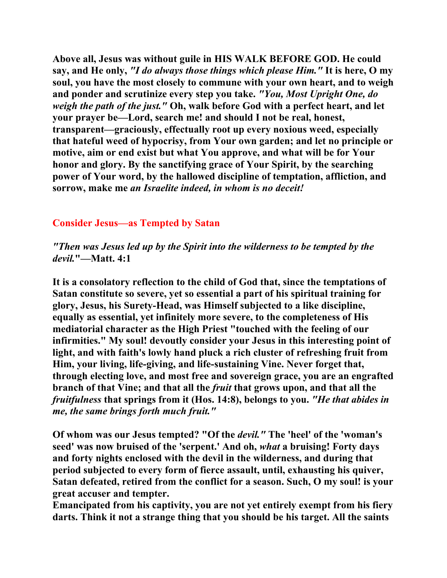**Above all, Jesus was without guile in HIS WALK BEFORE GOD. He could say, and He only,** *"I do always those things which please Him."* **It is here, O my soul, you have the most closely to commune with your own heart, and to weigh and ponder and scrutinize every step you take.** *"You, Most Upright One, do weigh the path of the just."* **Oh, walk before God with a perfect heart, and let your prayer be—Lord, search me! and should I not be real, honest, transparent—graciously, effectually root up every noxious weed, especially that hateful weed of hypocrisy, from Your own garden; and let no principle or motive, aim or end exist but what You approve, and what will be for Your honor and glory. By the sanctifying grace of Your Spirit, by the searching power of Your word, by the hallowed discipline of temptation, affliction, and sorrow, make me** *an Israelite indeed, in whom is no deceit!* 

# **Consider Jesus—as Tempted by Satan**

*"Then was Jesus led up by the Spirit into the wilderness to be tempted by the devil.***"—Matt. 4:1** 

**It is a consolatory reflection to the child of God that, since the temptations of Satan constitute so severe, yet so essential a part of his spiritual training for glory, Jesus, his Surety-Head, was Himself subjected to a like discipline, equally as essential, yet infinitely more severe, to the completeness of His mediatorial character as the High Priest "touched with the feeling of our infirmities." My soul! devoutly consider your Jesus in this interesting point of light, and with faith's lowly hand pluck a rich cluster of refreshing fruit from Him, your living, life-giving, and life-sustaining Vine. Never forget that, through electing love, and most free and sovereign grace, you are an engrafted branch of that Vine; and that all the** *fruit* **that grows upon, and that all the**  *fruitfulness* **that springs from it (Hos. 14:8), belongs to you.** *"He that abides in me, the same brings forth much fruit."* 

**Of whom was our Jesus tempted? "Of the** *devil."* **The 'heel' of the 'woman's seed' was now bruised of the 'serpent.' And oh,** *what* **a bruising! Forty days and forty nights enclosed with the devil in the wilderness, and during that period subjected to every form of fierce assault, until, exhausting his quiver, Satan defeated, retired from the conflict for a season. Such, O my soul! is your great accuser and tempter.** 

**Emancipated from his captivity, you are not yet entirely exempt from his fiery darts. Think it not a strange thing that you should be his target. All the saints**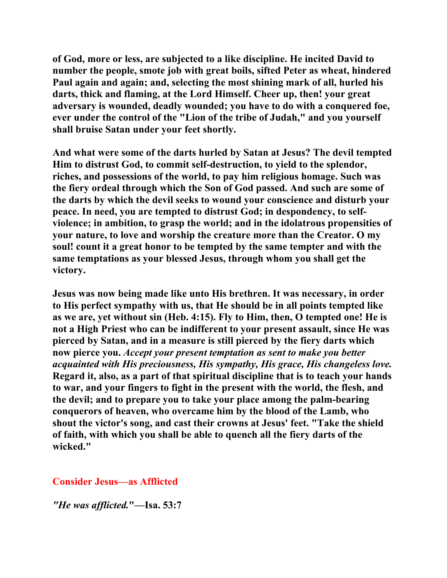**of God, more or less, are subjected to a like discipline. He incited David to number the people, smote job with great boils, sifted Peter as wheat, hindered Paul again and again; and, selecting the most shining mark of all, hurled his darts, thick and flaming, at the Lord Himself. Cheer up, then! your great adversary is wounded, deadly wounded; you have to do with a conquered foe, ever under the control of the "Lion of the tribe of Judah," and you yourself shall bruise Satan under your feet shortly.** 

**And what were some of the darts hurled by Satan at Jesus? The devil tempted Him to distrust God, to commit self-destruction, to yield to the splendor, riches, and possessions of the world, to pay him religious homage. Such was the fiery ordeal through which the Son of God passed. And such are some of the darts by which the devil seeks to wound your conscience and disturb your peace. In need, you are tempted to distrust God; in despondency, to selfviolence; in ambition, to grasp the world; and in the idolatrous propensities of your nature, to love and worship the creature more than the Creator. O my soul! count it a great honor to be tempted by the same tempter and with the same temptations as your blessed Jesus, through whom you shall get the victory.** 

**Jesus was now being made like unto His brethren. It was necessary, in order to His perfect sympathy with us, that He should be in all points tempted like as we are, yet without sin (Heb. 4:15). Fly to Him, then, O tempted one! He is not a High Priest who can be indifferent to your present assault, since He was pierced by Satan, and in a measure is still pierced by the fiery darts which now pierce you.** *Accept your present temptation as sent to make you better acquainted with His preciousness, His sympathy, His grace, His changeless love.* **Regard it, also, as a part of that spiritual discipline that is to teach your hands to war, and your fingers to fight in the present with the world, the flesh, and the devil; and to prepare you to take your place among the palm-bearing conquerors of heaven, who overcame him by the blood of the Lamb, who shout the victor's song, and cast their crowns at Jesus' feet. "Take the shield of faith, with which you shall be able to quench all the fiery darts of the wicked."** 

# **Consider Jesus—as Afflicted**

*"He was afflicted.***"—Isa. 53:7**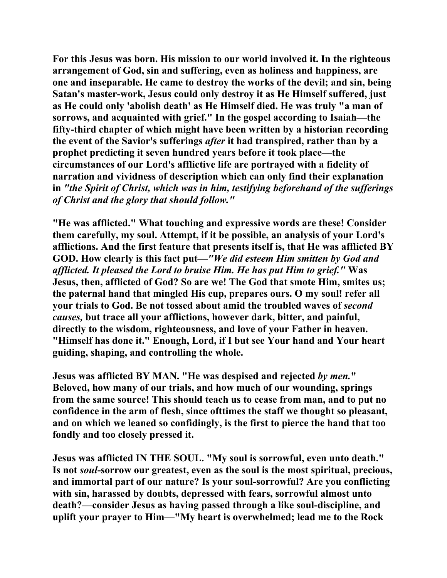**For this Jesus was born. His mission to our world involved it. In the righteous arrangement of God, sin and suffering, even as holiness and happiness, are one and inseparable. He came to destroy the works of the devil; and sin, being Satan's master-work, Jesus could only destroy it as He Himself suffered, just as He could only 'abolish death' as He Himself died. He was truly "a man of sorrows, and acquainted with grief." In the gospel according to Isaiah—the fifty-third chapter of which might have been written by a historian recording the event of the Savior's sufferings** *after* **it had transpired, rather than by a prophet predicting it seven hundred years before it took place—the circumstances of our Lord's afflictive life are portrayed with a fidelity of narration and vividness of description which can only find their explanation in** *"the Spirit of Christ, which was in him, testifying beforehand of the sufferings of Christ and the glory that should follow."*

**"He was afflicted." What touching and expressive words are these! Consider them carefully, my soul. Attempt, if it be possible, an analysis of your Lord's afflictions. And the first feature that presents itself is, that He was afflicted BY GOD. How clearly is this fact put—***"We did esteem Him smitten by God and afflicted. It pleased the Lord to bruise Him. He has put Him to grief."* **Was Jesus, then, afflicted of God? So are we! The God that smote Him, smites us; the paternal hand that mingled His cup, prepares ours. O my soul! refer all your trials to God. Be not tossed about amid the troubled waves of** *second causes,* **but trace all your afflictions, however dark, bitter, and painful, directly to the wisdom, righteousness, and love of your Father in heaven. "Himself has done it." Enough, Lord, if I but see Your hand and Your heart guiding, shaping, and controlling the whole.** 

**Jesus was afflicted BY MAN. "He was despised and rejected** *by men.***" Beloved, how many of our trials, and how much of our wounding, springs from the same source! This should teach us to cease from man, and to put no confidence in the arm of flesh, since ofttimes the staff we thought so pleasant, and on which we leaned so confidingly, is the first to pierce the hand that too fondly and too closely pressed it.** 

**Jesus was afflicted IN THE SOUL. "My soul is sorrowful, even unto death." Is not** *soul***-sorrow our greatest, even as the soul is the most spiritual, precious, and immortal part of our nature? Is your soul-sorrowful? Are you conflicting with sin, harassed by doubts, depressed with fears, sorrowful almost unto death?—consider Jesus as having passed through a like soul-discipline, and uplift your prayer to Him—"My heart is overwhelmed; lead me to the Rock**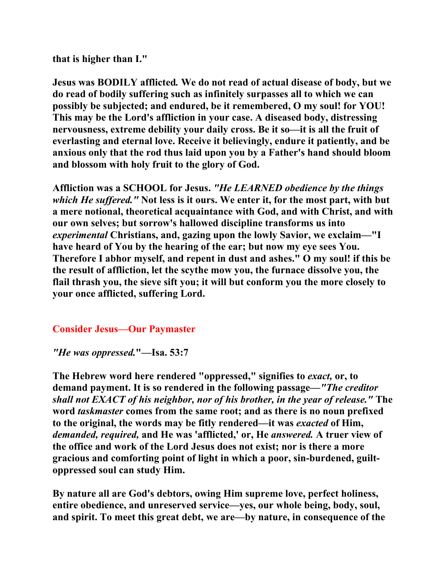**that is higher than I."** 

**Jesus was BODILY afflicted***.* **We do not read of actual disease of body, but we do read of bodily suffering such as infinitely surpasses all to which we can possibly be subjected; and endured, be it remembered, O my soul! for YOU! This may be the Lord's affliction in your case. A diseased body, distressing nervousness, extreme debility your daily cross. Be it so—it is all the fruit of everlasting and eternal love. Receive it believingly, endure it patiently, and be anxious only that the rod thus laid upon you by a Father's hand should bloom and blossom with holy fruit to the glory of God.** 

**Affliction was a SCHOOL for Jesus.** *"He LEARNED obedience by the things which He suffered."* **Not less is it ours. We enter it, for the most part, with but a mere notional, theoretical acquaintance with God, and with Christ, and with our own selves; but sorrow's hallowed discipline transforms us into**  *experimental* **Christians, and, gazing upon the lowly Savior, we exclaim—"I have heard of You by the hearing of the ear; but now my eye sees You. Therefore I abhor myself, and repent in dust and ashes." O my soul! if this be the result of affliction, let the scythe mow you, the furnace dissolve you, the flail thrash you, the sieve sift you; it will but conform you the more closely to your once afflicted, suffering Lord.** 

# **Consider Jesus—Our Paymaster**

*"He was oppressed.***"—Isa. 53:7** 

**The Hebrew word here rendered "oppressed," signifies to** *exact,* **or, to demand payment. It is so rendered in the following passage—***"The creditor shall not EXACT of his neighbor, nor of his brother, in the year of release."* **The word** *taskmaster* **comes from the same root; and as there is no noun prefixed to the original, the words may be fitly rendered—it was** *exacted* **of Him,** *demanded, required,* **and He was 'afflicted,' or, He** *answered.* **A truer view of the office and work of the Lord Jesus does not exist; nor is there a more gracious and comforting point of light in which a poor, sin-burdened, guiltoppressed soul can study Him.** 

**By nature all are God's debtors, owing Him supreme love, perfect holiness, entire obedience, and unreserved service—yes, our whole being, body, soul, and spirit. To meet this great debt, we are—by nature, in consequence of the**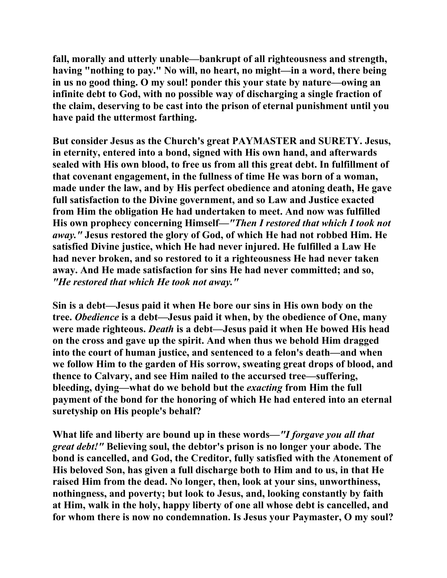**fall, morally and utterly unable—bankrupt of all righteousness and strength, having "nothing to pay." No will, no heart, no might—in a word, there being in us no good thing. O my soul! ponder this your state by nature—owing an infinite debt to God, with no possible way of discharging a single fraction of the claim, deserving to be cast into the prison of eternal punishment until you have paid the uttermost farthing.** 

**But consider Jesus as the Church's great PAYMASTER and SURETY. Jesus, in eternity, entered into a bond, signed with His own hand, and afterwards sealed with His own blood, to free us from all this great debt. In fulfillment of that covenant engagement, in the fullness of time He was born of a woman, made under the law, and by His perfect obedience and atoning death, He gave full satisfaction to the Divine government, and so Law and Justice exacted from Him the obligation He had undertaken to meet. And now was fulfilled His own prophecy concerning Himself—***"Then I restored that which I took not away."* **Jesus restored the glory of God, of which He had not robbed Him. He satisfied Divine justice, which He had never injured. He fulfilled a Law He had never broken, and so restored to it a righteousness He had never taken away. And He made satisfaction for sins He had never committed; and so,**  *"He restored that which He took not away."* 

**Sin is a debt—Jesus paid it when He bore our sins in His own body on the tree.** *Obedience* **is a debt—Jesus paid it when, by the obedience of One, many were made righteous.** *Death* **is a debt—Jesus paid it when He bowed His head on the cross and gave up the spirit. And when thus we behold Him dragged into the court of human justice, and sentenced to a felon's death—and when we follow Him to the garden of His sorrow, sweating great drops of blood, and thence to Calvary, and see Him nailed to the accursed tree—suffering, bleeding, dying—what do we behold but the** *exacting* **from Him the full payment of the bond for the honoring of which He had entered into an eternal suretyship on His people's behalf?** 

**What life and liberty are bound up in these words—***"I forgave you all that great debt!"* **Believing soul, the debtor's prison is no longer your abode. The bond is cancelled, and God, the Creditor, fully satisfied with the Atonement of His beloved Son, has given a full discharge both to Him and to us, in that He raised Him from the dead. No longer, then, look at your sins, unworthiness, nothingness, and poverty; but look to Jesus, and, looking constantly by faith at Him, walk in the holy, happy liberty of one all whose debt is cancelled, and for whom there is now no condemnation. Is Jesus your Paymaster, O my soul?**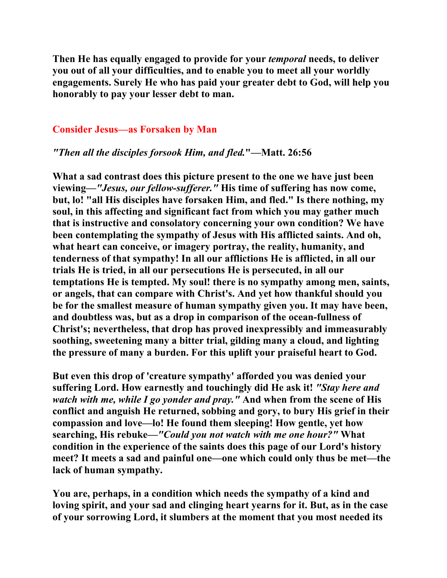**Then He has equally engaged to provide for your** *temporal* **needs, to deliver you out of all your difficulties, and to enable you to meet all your worldly engagements. Surely He who has paid your greater debt to God, will help you honorably to pay your lesser debt to man.** 

#### **Consider Jesus—as Forsaken by Man**

#### *"Then all the disciples forsook Him, and fled.***"—Matt. 26:56**

**What a sad contrast does this picture present to the one we have just been viewing—***"Jesus, our fellow-sufferer."* **His time of suffering has now come, but, lo! "all His disciples have forsaken Him, and fled." Is there nothing, my soul, in this affecting and significant fact from which you may gather much that is instructive and consolatory concerning your own condition? We have been contemplating the sympathy of Jesus with His afflicted saints. And oh, what heart can conceive, or imagery portray, the reality, humanity, and tenderness of that sympathy! In all our afflictions He is afflicted, in all our trials He is tried, in all our persecutions He is persecuted, in all our temptations He is tempted. My soul! there is no sympathy among men, saints, or angels, that can compare with Christ's. And yet how thankful should you be for the smallest measure of human sympathy given you. It may have been, and doubtless was, but as a drop in comparison of the ocean-fullness of Christ's; nevertheless, that drop has proved inexpressibly and immeasurably soothing, sweetening many a bitter trial, gilding many a cloud, and lighting the pressure of many a burden. For this uplift your praiseful heart to God.** 

**But even this drop of 'creature sympathy' afforded you was denied your suffering Lord. How earnestly and touchingly did He ask it!** *"Stay here and watch with me, while I go yonder and pray."* **And when from the scene of His conflict and anguish He returned, sobbing and gory, to bury His grief in their compassion and love—lo! He found them sleeping! How gentle, yet how searching, His rebuke—***"Could you not watch with me one hour?"* **What condition in the experience of the saints does this page of our Lord's history meet? It meets a sad and painful one—one which could only thus be met—the lack of human sympathy.** 

**You are, perhaps, in a condition which needs the sympathy of a kind and loving spirit, and your sad and clinging heart yearns for it. But, as in the case of your sorrowing Lord, it slumbers at the moment that you most needed its**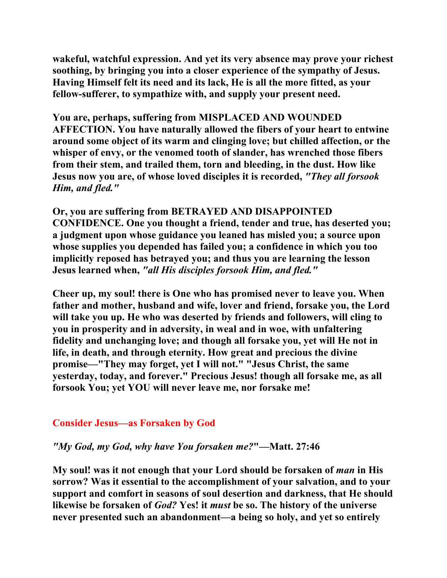**wakeful, watchful expression. And yet its very absence may prove your richest soothing, by bringing you into a closer experience of the sympathy of Jesus. Having Himself felt its need and its lack, He is all the more fitted, as your fellow-sufferer, to sympathize with, and supply your present need.** 

**You are, perhaps, suffering from MISPLACED AND WOUNDED AFFECTION. You have naturally allowed the fibers of your heart to entwine around some object of its warm and clinging love; but chilled affection, or the whisper of envy, or the venomed tooth of slander, has wrenched those fibers from their stem, and trailed them, torn and bleeding, in the dust. How like Jesus now you are, of whose loved disciples it is recorded,** *"They all forsook Him, and fled."* 

**Or, you are suffering from BETRAYED AND DISAPPOINTED CONFIDENCE. One you thought a friend, tender and true, has deserted you; a judgment upon whose guidance you leaned has misled you; a source upon whose supplies you depended has failed you; a confidence in which you too implicitly reposed has betrayed you; and thus you are learning the lesson Jesus learned when,** *"all His disciples forsook Him, and fled."* 

**Cheer up, my soul! there is One who has promised never to leave you. When father and mother, husband and wife, lover and friend, forsake you, the Lord will take you up. He who was deserted by friends and followers, will cling to you in prosperity and in adversity, in weal and in woe, with unfaltering fidelity and unchanging love; and though all forsake you, yet will He not in life, in death, and through eternity. How great and precious the divine promise—"They may forget, yet I will not." "Jesus Christ, the same yesterday, today, and forever." Precious Jesus! though all forsake me, as all forsook You; yet YOU will never leave me, nor forsake me!** 

#### **Consider Jesus—as Forsaken by God**

#### *"My God, my God, why have You forsaken me?***"—Matt. 27:46**

**My soul! was it not enough that your Lord should be forsaken of** *man* **in His sorrow? Was it essential to the accomplishment of your salvation, and to your support and comfort in seasons of soul desertion and darkness, that He should likewise be forsaken of** *God?* **Yes! it** *must* **be so. The history of the universe never presented such an abandonment—a being so holy, and yet so entirely**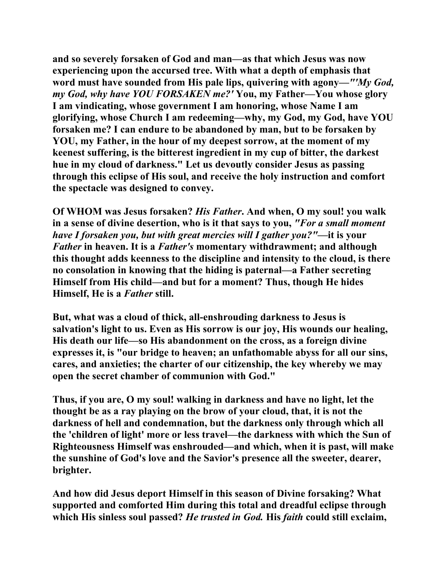**and so severely forsaken of God and man—as that which Jesus was now experiencing upon the accursed tree. With what a depth of emphasis that word must have sounded from His pale lips, quivering with agony—***"'My God, my God, why have YOU FORSAKEN me?'* **You, my Father—You whose glory I am vindicating, whose government I am honoring, whose Name I am glorifying, whose Church I am redeeming—why, my God, my God, have YOU forsaken me? I can endure to be abandoned by man, but to be forsaken by YOU, my Father, in the hour of my deepest sorrow, at the moment of my keenest suffering, is the bitterest ingredient in my cup of bitter, the darkest hue in my cloud of darkness." Let us devoutly consider Jesus as passing through this eclipse of His soul, and receive the holy instruction and comfort the spectacle was designed to convey.** 

**Of WHOM was Jesus forsaken?** *His Father***. And when, O my soul! you walk in a sense of divine desertion, who is it that says to you,** *"For a small moment have I forsaken you, but with great mercies will I gather you?"***—it is your**  *Father* **in heaven. It is a** *Father's* **momentary withdrawment; and although this thought adds keenness to the discipline and intensity to the cloud, is there no consolation in knowing that the hiding is paternal—a Father secreting Himself from His child—and but for a moment? Thus, though He hides Himself, He is a** *Father* **still.** 

**But, what was a cloud of thick, all-enshrouding darkness to Jesus is salvation's light to us. Even as His sorrow is our joy, His wounds our healing, His death our life—so His abandonment on the cross, as a foreign divine expresses it, is "our bridge to heaven; an unfathomable abyss for all our sins, cares, and anxieties; the charter of our citizenship, the key whereby we may open the secret chamber of communion with God."** 

**Thus, if you are, O my soul! walking in darkness and have no light, let the thought be as a ray playing on the brow of your cloud, that, it is not the darkness of hell and condemnation, but the darkness only through which all the 'children of light' more or less travel—the darkness with which the Sun of Righteousness Himself was enshrouded—and which, when it is past, will make the sunshine of God's love and the Savior's presence all the sweeter, dearer, brighter.** 

**And how did Jesus deport Himself in this season of Divine forsaking? What supported and comforted Him during this total and dreadful eclipse through which His sinless soul passed?** *He trusted in God.* **His** *faith* **could still exclaim,**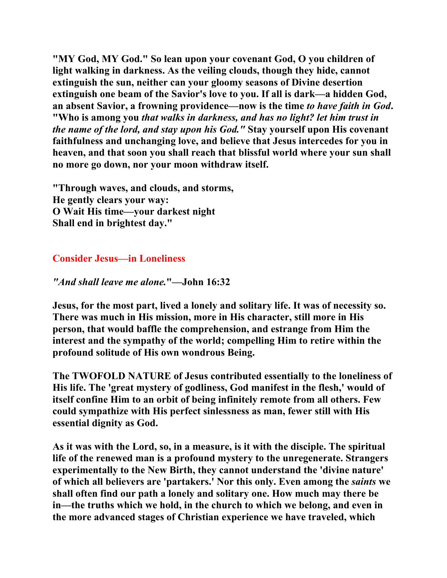**"MY God, MY God." So lean upon your covenant God, O you children of light walking in darkness. As the veiling clouds, though they hide, cannot extinguish the sun, neither can your gloomy seasons of Divine desertion extinguish one beam of the Savior's love to you. If all is dark—a hidden God, an absent Savior, a frowning providence—now is the time** *to have faith in God***. "Who is among you** *that walks in darkness, and has no light? let him trust in the name of the lord, and stay upon his God."* **Stay yourself upon His covenant faithfulness and unchanging love, and believe that Jesus intercedes for you in heaven, and that soon you shall reach that blissful world where your sun shall no more go down, nor your moon withdraw itself.** 

**"Through waves, and clouds, and storms, He gently clears your way: O Wait His time—your darkest night Shall end in brightest day."** 

# **Consider Jesus—in Loneliness**

*"And shall leave me alone.***"—John 16:32** 

**Jesus, for the most part, lived a lonely and solitary life. It was of necessity so. There was much in His mission, more in His character, still more in His person, that would baffle the comprehension, and estrange from Him the interest and the sympathy of the world; compelling Him to retire within the profound solitude of His own wondrous Being.** 

**The TWOFOLD NATURE of Jesus contributed essentially to the loneliness of His life. The 'great mystery of godliness, God manifest in the flesh,' would of itself confine Him to an orbit of being infinitely remote from all others. Few could sympathize with His perfect sinlessness as man, fewer still with His essential dignity as God.** 

**As it was with the Lord, so, in a measure, is it with the disciple. The spiritual life of the renewed man is a profound mystery to the unregenerate. Strangers experimentally to the New Birth, they cannot understand the 'divine nature' of which all believers are 'partakers.' Nor this only. Even among the** *saints* **we shall often find our path a lonely and solitary one. How much may there be in—the truths which we hold, in the church to which we belong, and even in the more advanced stages of Christian experience we have traveled, which**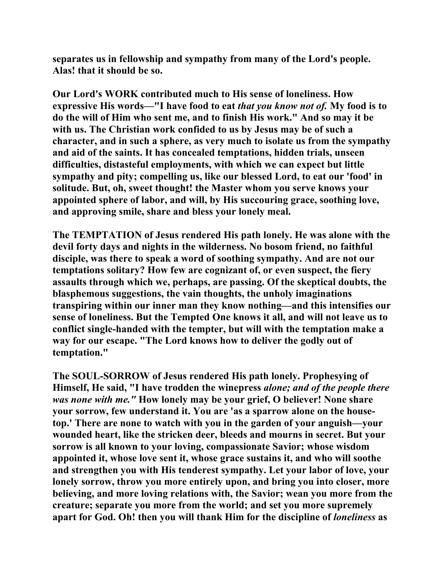**separates us in fellowship and sympathy from many of the Lord's people. Alas! that it should be so.** 

**Our Lord's WORK contributed much to His sense of loneliness. How expressive His words—"I have food to eat** *that you know not of.* **My food is to do the will of Him who sent me, and to finish His work." And so may it be with us. The Christian work confided to us by Jesus may be of such a character, and in such a sphere, as very much to isolate us from the sympathy and aid of the saints. It has concealed temptations, hidden trials, unseen difficulties, distasteful employments, with which we can expect but little sympathy and pity; compelling us, like our blessed Lord, to eat our 'food' in solitude. But, oh, sweet thought! the Master whom you serve knows your appointed sphere of labor, and will, by His succouring grace, soothing love, and approving smile, share and bless your lonely meal.** 

**The TEMPTATION of Jesus rendered His path lonely. He was alone with the devil forty days and nights in the wilderness. No bosom friend, no faithful disciple, was there to speak a word of soothing sympathy. And are not our temptations solitary? How few are cognizant of, or even suspect, the fiery assaults through which we, perhaps, are passing. Of the skeptical doubts, the blasphemous suggestions, the vain thoughts, the unholy imaginations transpiring within our inner man they know nothing—and this intensifies our sense of loneliness. But the Tempted One knows it all, and will not leave us to conflict single-handed with the tempter, but will with the temptation make a way for our escape. "The Lord knows how to deliver the godly out of temptation."** 

**The SOUL-SORROW of Jesus rendered His path lonely. Prophesying of Himself, He said, "I have trodden the winepress** *alone; and of the people there was none with me."* **How lonely may be your grief, O believer! None share your sorrow, few understand it. You are 'as a sparrow alone on the housetop.' There are none to watch with you in the garden of your anguish—your wounded heart, like the stricken deer, bleeds and mourns in secret. But your sorrow is all known to your loving, compassionate Savior; whose wisdom appointed it, whose love sent it, whose grace sustains it, and who will soothe and strengthen you with His tenderest sympathy. Let your labor of love, your lonely sorrow, throw you more entirely upon, and bring you into closer, more believing, and more loving relations with, the Savior; wean you more from the creature; separate you more from the world; and set you more supremely apart for God. Oh! then you will thank Him for the discipline of** *loneliness* **as**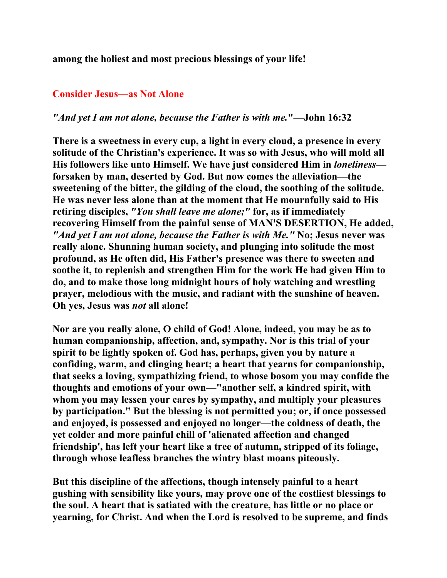**among the holiest and most precious blessings of your life!** 

#### **Consider Jesus—as Not Alone**

#### *"And yet I am not alone, because the Father is with me.***"—John 16:32**

**There is a sweetness in every cup, a light in every cloud, a presence in every solitude of the Christian's experience. It was so with Jesus, who will mold all His followers like unto Himself. We have just considered Him in** *loneliness* **forsaken by man, deserted by God. But now comes the alleviation—the sweetening of the bitter, the gilding of the cloud, the soothing of the solitude. He was never less alone than at the moment that He mournfully said to His retiring disciples,** *"You shall leave me alone;"* **for, as if immediately recovering Himself from the painful sense of MAN'S DESERTION, He added,** *"And yet I am not alone, because the Father is with Me."* **No; Jesus never was really alone. Shunning human society, and plunging into solitude the most profound, as He often did, His Father's presence was there to sweeten and soothe it, to replenish and strengthen Him for the work He had given Him to do, and to make those long midnight hours of holy watching and wrestling prayer, melodious with the music, and radiant with the sunshine of heaven. Oh yes, Jesus was** *not* **all alone!** 

**Nor are you really alone, O child of God! Alone, indeed, you may be as to human companionship, affection, and, sympathy. Nor is this trial of your spirit to be lightly spoken of. God has, perhaps, given you by nature a confiding, warm, and clinging heart; a heart that yearns for companionship, that seeks a loving, sympathizing friend, to whose bosom you may confide the thoughts and emotions of your own—"another self, a kindred spirit, with whom you may lessen your cares by sympathy, and multiply your pleasures by participation." But the blessing is not permitted you; or, if once possessed and enjoyed, is possessed and enjoyed no longer—the coldness of death, the yet colder and more painful chill of 'alienated affection and changed friendship', has left your heart like a tree of autumn, stripped of its foliage, through whose leafless branches the wintry blast moans piteously.** 

**But this discipline of the affections, though intensely painful to a heart gushing with sensibility like yours, may prove one of the costliest blessings to the soul. A heart that is satiated with the creature, has little or no place or yearning, for Christ. And when the Lord is resolved to be supreme, and finds**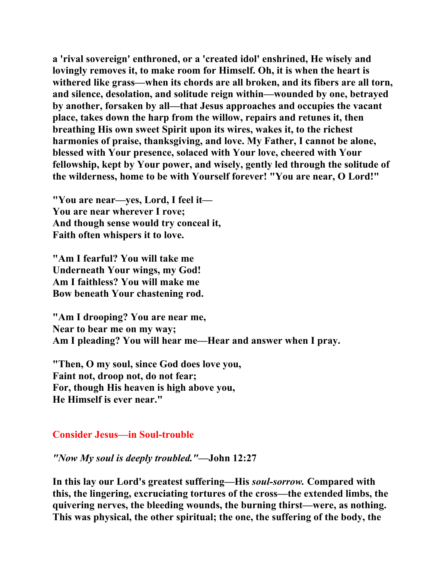**a 'rival sovereign' enthroned, or a 'created idol' enshrined, He wisely and lovingly removes it, to make room for Himself. Oh, it is when the heart is withered like grass—when its chords are all broken, and its fibers are all torn, and silence, desolation, and solitude reign within—wounded by one, betrayed by another, forsaken by all—that Jesus approaches and occupies the vacant place, takes down the harp from the willow, repairs and retunes it, then breathing His own sweet Spirit upon its wires, wakes it, to the richest harmonies of praise, thanksgiving, and love. My Father, I cannot be alone, blessed with Your presence, solaced with Your love, cheered with Your fellowship, kept by Your power, and wisely, gently led through the solitude of the wilderness, home to be with Yourself forever! "You are near, O Lord!"** 

**"You are near—yes, Lord, I feel it— You are near wherever I rove; And though sense would try conceal it, Faith often whispers it to love.** 

**"Am I fearful? You will take me Underneath Your wings, my God! Am I faithless? You will make me Bow beneath Your chastening rod.** 

**"Am I drooping? You are near me, Near to bear me on my way; Am I pleading? You will hear me—Hear and answer when I pray.** 

**"Then, O my soul, since God does love you, Faint not, droop not, do not fear; For, though His heaven is high above you, He Himself is ever near."** 

#### **Consider Jesus—in Soul-trouble**

#### *"Now My soul is deeply troubled."***—John 12:27**

**In this lay our Lord's greatest suffering—His** *soul-sorrow.* **Compared with this, the lingering, excruciating tortures of the cross—the extended limbs, the quivering nerves, the bleeding wounds, the burning thirst—were, as nothing. This was physical, the other spiritual; the one, the suffering of the body, the**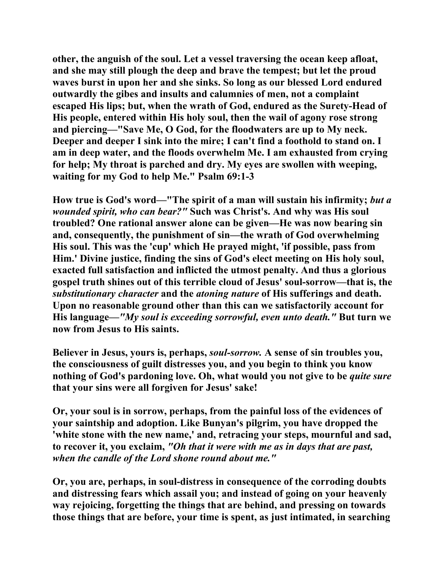**other, the anguish of the soul. Let a vessel traversing the ocean keep afloat, and she may still plough the deep and brave the tempest; but let the proud waves burst in upon her and she sinks. So long as our blessed Lord endured outwardly the gibes and insults and calumnies of men, not a complaint escaped His lips; but, when the wrath of God, endured as the Surety-Head of His people, entered within His holy soul, then the wail of agony rose strong and piercing—"Save Me, O God, for the floodwaters are up to My neck. Deeper and deeper I sink into the mire; I can't find a foothold to stand on. I am in deep water, and the floods overwhelm Me. I am exhausted from crying for help; My throat is parched and dry. My eyes are swollen with weeping, waiting for my God to help Me." Psalm 69:1-3** 

**How true is God's word—"The spirit of a man will sustain his infirmity;** *but a wounded spirit, who can bear?"* **Such was Christ's. And why was His soul troubled? One rational answer alone can be given—He was now bearing sin and, consequently, the punishment of sin—the wrath of God overwhelming His soul. This was the 'cup' which He prayed might, 'if possible, pass from Him.' Divine justice, finding the sins of God's elect meeting on His holy soul, exacted full satisfaction and inflicted the utmost penalty. And thus a glorious gospel truth shines out of this terrible cloud of Jesus' soul-sorrow—that is, the**  *substitutionary character* **and the** *atoning nature* **of His sufferings and death. Upon no reasonable ground other than this can we satisfactorily account for His language—***"My soul is exceeding sorrowful, even unto death."* **But turn we now from Jesus to His saints.** 

**Believer in Jesus, yours is, perhaps,** *soul-sorrow.* **A sense of sin troubles you, the consciousness of guilt distresses you, and you begin to think you know nothing of God's pardoning love. Oh, what would you not give to be** *quite sure*  **that your sins were all forgiven for Jesus' sake!** 

**Or, your soul is in sorrow, perhaps, from the painful loss of the evidences of your saintship and adoption. Like Bunyan's pilgrim, you have dropped the 'white stone with the new name,' and, retracing your steps, mournful and sad, to recover it, you exclaim,** *"Oh that it were with me as in days that are past, when the candle of the Lord shone round about me."* 

**Or, you are, perhaps, in soul-distress in consequence of the corroding doubts and distressing fears which assail you; and instead of going on your heavenly way rejoicing, forgetting the things that are behind, and pressing on towards those things that are before, your time is spent, as just intimated, in searching**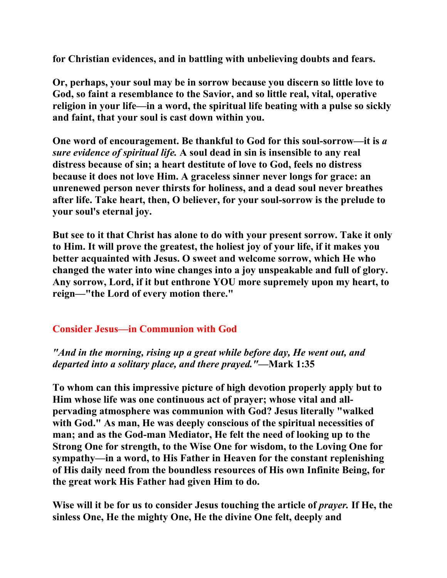**for Christian evidences, and in battling with unbelieving doubts and fears.** 

**Or, perhaps, your soul may be in sorrow because you discern so little love to God, so faint a resemblance to the Savior, and so little real, vital, operative religion in your life—in a word, the spiritual life beating with a pulse so sickly and faint, that your soul is cast down within you.** 

**One word of encouragement. Be thankful to God for this soul-sorrow—it is** *a sure evidence of spiritual life.* **A soul dead in sin is insensible to any real distress because of sin; a heart destitute of love to God, feels no distress because it does not love Him. A graceless sinner never longs for grace: an unrenewed person never thirsts for holiness, and a dead soul never breathes after life. Take heart, then, O believer, for your soul-sorrow is the prelude to your soul's eternal joy.** 

**But see to it that Christ has alone to do with your present sorrow. Take it only to Him. It will prove the greatest, the holiest joy of your life, if it makes you better acquainted with Jesus. O sweet and welcome sorrow, which He who changed the water into wine changes into a joy unspeakable and full of glory. Any sorrow, Lord, if it but enthrone YOU more supremely upon my heart, to reign—"the Lord of every motion there."** 

# **Consider Jesus—in Communion with God**

*"And in the morning, rising up a great while before day, He went out, and departed into a solitary place, and there prayed."***—Mark 1:35** 

**To whom can this impressive picture of high devotion properly apply but to Him whose life was one continuous act of prayer; whose vital and allpervading atmosphere was communion with God? Jesus literally "walked with God." As man, He was deeply conscious of the spiritual necessities of man; and as the God-man Mediator, He felt the need of looking up to the Strong One for strength, to the Wise One for wisdom, to the Loving One for sympathy—in a word, to His Father in Heaven for the constant replenishing of His daily need from the boundless resources of His own Infinite Being, for the great work His Father had given Him to do.** 

**Wise will it be for us to consider Jesus touching the article of** *prayer.* **If He, the sinless One, He the mighty One, He the divine One felt, deeply and**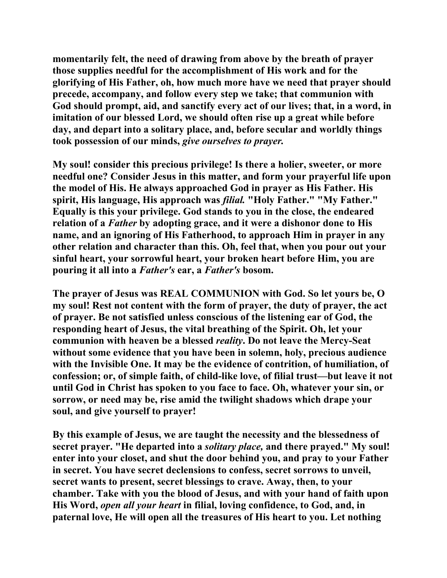**momentarily felt, the need of drawing from above by the breath of prayer those supplies needful for the accomplishment of His work and for the glorifying of His Father, oh, how much more have we need that prayer should precede, accompany, and follow every step we take; that communion with God should prompt, aid, and sanctify every act of our lives; that, in a word, in imitation of our blessed Lord, we should often rise up a great while before day, and depart into a solitary place, and, before secular and worldly things took possession of our minds,** *give ourselves to prayer.* 

**My soul! consider this precious privilege! Is there a holier, sweeter, or more needful one? Consider Jesus in this matter, and form your prayerful life upon the model of His. He always approached God in prayer as His Father. His spirit, His language, His approach was** *filial.* **"Holy Father." "My Father." Equally is this your privilege. God stands to you in the close, the endeared relation of a** *Father* **by adopting grace, and it were a dishonor done to His name, and an ignoring of His Fatherhood, to approach Him in prayer in any other relation and character than this. Oh, feel that, when you pour out your sinful heart, your sorrowful heart, your broken heart before Him, you are pouring it all into a** *Father's* **ear, a** *Father's* **bosom.** 

**The prayer of Jesus was REAL COMMUNION with God. So let yours be, O my soul! Rest not content with the form of prayer, the duty of prayer, the act of prayer. Be not satisfied unless conscious of the listening ear of God, the responding heart of Jesus, the vital breathing of the Spirit. Oh, let your communion with heaven be a blessed** *reality***. Do not leave the Mercy-Seat without some evidence that you have been in solemn, holy, precious audience with the Invisible One. It may be the evidence of contrition, of humiliation, of confession; or, of simple faith, of child-like love, of filial trust—but leave it not until God in Christ has spoken to you face to face. Oh, whatever your sin, or sorrow, or need may be, rise amid the twilight shadows which drape your soul, and give yourself to prayer!** 

**By this example of Jesus, we are taught the necessity and the blessedness of secret prayer. "He departed into a** *solitary place,* **and there prayed." My soul! enter into your closet, and shut the door behind you, and pray to your Father in secret. You have secret declensions to confess, secret sorrows to unveil, secret wants to present, secret blessings to crave. Away, then, to your chamber. Take with you the blood of Jesus, and with your hand of faith upon His Word,** *open all your heart* **in filial, loving confidence, to God, and, in paternal love, He will open all the treasures of His heart to you. Let nothing**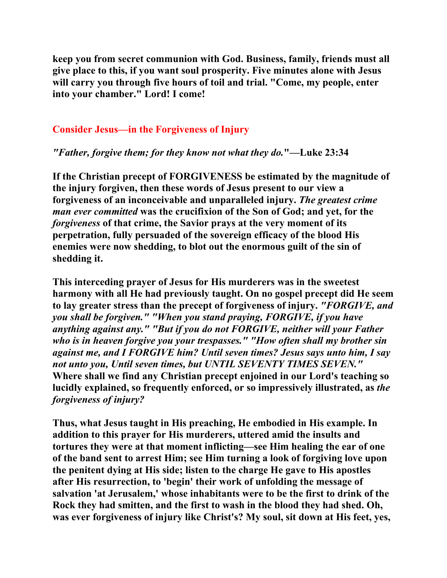**keep you from secret communion with God. Business, family, friends must all give place to this, if you want soul prosperity. Five minutes alone with Jesus will carry you through five hours of toil and trial. "Come, my people, enter into your chamber." Lord! I come!** 

# **Consider Jesus—in the Forgiveness of Injury**

# *"Father, forgive them; for they know not what they do.***"—Luke 23:34**

**If the Christian precept of FORGIVENESS be estimated by the magnitude of the injury forgiven, then these words of Jesus present to our view a forgiveness of an inconceivable and unparalleled injury.** *The greatest crime man ever committed* **was the crucifixion of the Son of God; and yet, for the**  *forgiveness* **of that crime, the Savior prays at the very moment of its perpetration, fully persuaded of the sovereign efficacy of the blood His enemies were now shedding, to blot out the enormous guilt of the sin of shedding it.** 

**This interceding prayer of Jesus for His murderers was in the sweetest harmony with all He had previously taught. On no gospel precept did He seem to lay greater stress than the precept of forgiveness of injury.** *"FORGIVE, and you shall be forgiven." "When you stand praying, FORGIVE, if you have anything against any." "But if you do not FORGIVE, neither will your Father who is in heaven forgive you your trespasses." "How often shall my brother sin against me, and I FORGIVE him? Until seven times? Jesus says unto him, I say not unto you, Until seven times, but UNTIL SEVENTY TIMES SEVEN."* **Where shall we find any Christian precept enjoined in our Lord's teaching so lucidly explained, so frequently enforced, or so impressively illustrated, as** *the forgiveness of injury?* 

**Thus, what Jesus taught in His preaching, He embodied in His example. In addition to this prayer for His murderers, uttered amid the insults and tortures they were at that moment inflicting—see Him healing the ear of one of the band sent to arrest Him; see Him turning a look of forgiving love upon the penitent dying at His side; listen to the charge He gave to His apostles after His resurrection, to 'begin' their work of unfolding the message of salvation 'at Jerusalem,' whose inhabitants were to be the first to drink of the Rock they had smitten, and the first to wash in the blood they had shed. Oh, was ever forgiveness of injury like Christ's? My soul, sit down at His feet, yes,**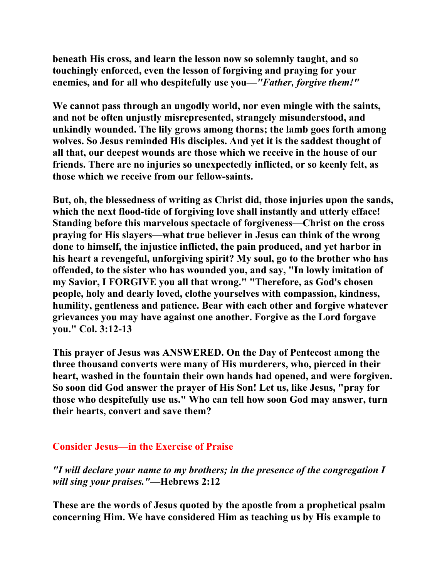**beneath His cross, and learn the lesson now so solemnly taught, and so touchingly enforced, even the lesson of forgiving and praying for your enemies, and for all who despitefully use you—***"Father, forgive them!"* 

**We cannot pass through an ungodly world, nor even mingle with the saints, and not be often unjustly misrepresented, strangely misunderstood, and unkindly wounded. The lily grows among thorns; the lamb goes forth among wolves. So Jesus reminded His disciples. And yet it is the saddest thought of all that, our deepest wounds are those which we receive in the house of our friends. There are no injuries so unexpectedly inflicted, or so keenly felt, as those which we receive from our fellow-saints.** 

**But, oh, the blessedness of writing as Christ did, those injuries upon the sands, which the next flood-tide of forgiving love shall instantly and utterly efface! Standing before this marvelous spectacle of forgiveness—Christ on the cross praying for His slayers—what true believer in Jesus can think of the wrong done to himself, the injustice inflicted, the pain produced, and yet harbor in his heart a revengeful, unforgiving spirit? My soul, go to the brother who has offended, to the sister who has wounded you, and say, "In lowly imitation of my Savior, I FORGIVE you all that wrong." "Therefore, as God's chosen people, holy and dearly loved, clothe yourselves with compassion, kindness, humility, gentleness and patience. Bear with each other and forgive whatever grievances you may have against one another. Forgive as the Lord forgave you." Col. 3:12-13** 

**This prayer of Jesus was ANSWERED. On the Day of Pentecost among the three thousand converts were many of His murderers, who, pierced in their heart, washed in the fountain their own hands had opened, and were forgiven. So soon did God answer the prayer of His Son! Let us, like Jesus, "pray for those who despitefully use us." Who can tell how soon God may answer, turn their hearts, convert and save them?** 

# **Consider Jesus—in the Exercise of Praise**

*"I will declare your name to my brothers; in the presence of the congregation I will sing your praises."***—Hebrews 2:12** 

**These are the words of Jesus quoted by the apostle from a prophetical psalm concerning Him. We have considered Him as teaching us by His example to**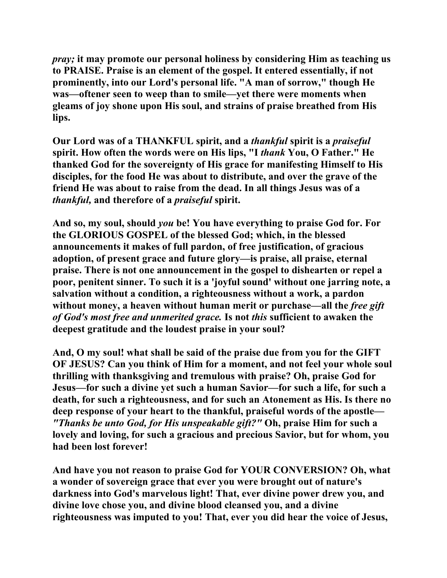*pray;* **it may promote our personal holiness by considering Him as teaching us to PRAISE. Praise is an element of the gospel. It entered essentially, if not prominently, into our Lord's personal life. "A man of sorrow," though He was—oftener seen to weep than to smile—yet there were moments when gleams of joy shone upon His soul, and strains of praise breathed from His lips.** 

**Our Lord was of a THANKFUL spirit, and a** *thankful* **spirit is a** *praiseful*  **spirit. How often the words were on His lips, "I** *thank* **You, O Father." He thanked God for the sovereignty of His grace for manifesting Himself to His disciples, for the food He was about to distribute, and over the grave of the friend He was about to raise from the dead. In all things Jesus was of a**  *thankful,* **and therefore of a** *praiseful* **spirit.** 

**And so, my soul, should** *you* **be! You have everything to praise God for. For the GLORIOUS GOSPEL of the blessed God; which, in the blessed announcements it makes of full pardon, of free justification, of gracious adoption, of present grace and future glory—is praise, all praise, eternal praise. There is not one announcement in the gospel to dishearten or repel a poor, penitent sinner. To such it is a 'joyful sound' without one jarring note, a salvation without a condition, a righteousness without a work, a pardon without money, a heaven without human merit or purchase—all the** *free gift of God's most free and unmerited grace.* **Is not** *this* **sufficient to awaken the deepest gratitude and the loudest praise in your soul?** 

**And, O my soul! what shall be said of the praise due from you for the GIFT OF JESUS? Can you think of Him for a moment, and not feel your whole soul thrilling with thanksgiving and tremulous with praise? Oh, praise God for Jesus—for such a divine yet such a human Savior—for such a life, for such a death, for such a righteousness, and for such an Atonement as His. Is there no deep response of your heart to the thankful, praiseful words of the apostle—** *"Thanks be unto God, for His unspeakable gift?"* **Oh, praise Him for such a lovely and loving, for such a gracious and precious Savior, but for whom, you had been lost forever!** 

**And have you not reason to praise God for YOUR CONVERSION? Oh, what a wonder of sovereign grace that ever you were brought out of nature's darkness into God's marvelous light! That, ever divine power drew you, and divine love chose you, and divine blood cleansed you, and a divine righteousness was imputed to you! That, ever you did hear the voice of Jesus,**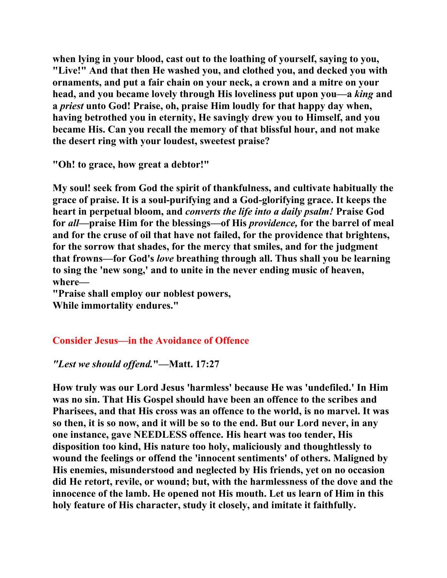**when lying in your blood, cast out to the loathing of yourself, saying to you, "Live!" And that then He washed you, and clothed you, and decked you with ornaments, and put a fair chain on your neck, a crown and a mitre on your head, and you became lovely through His loveliness put upon you—a** *king* **and a** *priest* **unto God! Praise, oh, praise Him loudly for that happy day when, having betrothed you in eternity, He savingly drew you to Himself, and you became His. Can you recall the memory of that blissful hour, and not make the desert ring with your loudest, sweetest praise?** 

**"Oh! to grace, how great a debtor!"** 

**My soul! seek from God the spirit of thankfulness, and cultivate habitually the grace of praise. It is a soul-purifying and a God-glorifying grace. It keeps the heart in perpetual bloom, and** *converts the life into a daily psalm!* **Praise God for** *all***—praise Him for the blessings—of His** *providence,* **for the barrel of meal and for the cruse of oil that have not failed, for the providence that brightens, for the sorrow that shades, for the mercy that smiles, and for the judgment that frowns—for God's** *love* **breathing through all. Thus shall you be learning to sing the 'new song,' and to unite in the never ending music of heaven, where—** 

**"Praise shall employ our noblest powers, While immortality endures."** 

# **Consider Jesus—in the Avoidance of Offence**

# *"Lest we should offend.***"—Matt. 17:27**

**How truly was our Lord Jesus 'harmless' because He was 'undefiled.' In Him was no sin. That His Gospel should have been an offence to the scribes and Pharisees, and that His cross was an offence to the world, is no marvel. It was so then, it is so now, and it will be so to the end. But our Lord never, in any one instance, gave NEEDLESS offence. His heart was too tender, His disposition too kind, His nature too holy, maliciously and thoughtlessly to wound the feelings or offend the 'innocent sentiments' of others. Maligned by His enemies, misunderstood and neglected by His friends, yet on no occasion did He retort, revile, or wound; but, with the harmlessness of the dove and the innocence of the lamb. He opened not His mouth. Let us learn of Him in this holy feature of His character, study it closely, and imitate it faithfully.**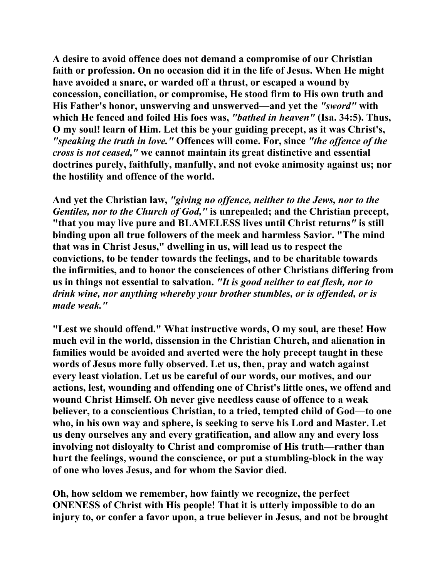**A desire to avoid offence does not demand a compromise of our Christian faith or profession. On no occasion did it in the life of Jesus. When He might have avoided a snare, or warded off a thrust, or escaped a wound by concession, conciliation, or compromise, He stood firm to His own truth and His Father's honor, unswerving and unswerved—and yet the** *"sword"* **with which He fenced and foiled His foes was,** *"bathed in heaven"* **(Isa. 34:5). Thus, O my soul! learn of Him. Let this be your guiding precept, as it was Christ's,** *"speaking the truth in love."* **Offences will come. For, since** *"the offence of the cross is not ceased,"* **we cannot maintain its great distinctive and essential doctrines purely, faithfully, manfully, and not evoke animosity against us; nor the hostility and offence of the world.** 

**And yet the Christian law,** *"giving no offence, neither to the Jews, nor to the Gentiles, nor to the Church of God,"* **is unrepealed; and the Christian precept, "that you may live pure and BLAMELESS lives until Christ returns***"* **is still binding upon all true followers of the meek and harmless Savior. "The mind that was in Christ Jesus," dwelling in us, will lead us to respect the convictions, to be tender towards the feelings, and to be charitable towards the infirmities, and to honor the consciences of other Christians differing from us in things not essential to salvation.** *"It is good neither to eat flesh, nor to drink wine, nor anything whereby your brother stumbles, or is offended, or is made weak."* 

**"Lest we should offend." What instructive words, O my soul, are these! How much evil in the world, dissension in the Christian Church, and alienation in families would be avoided and averted were the holy precept taught in these words of Jesus more fully observed. Let us, then, pray and watch against every least violation. Let us be careful of our words, our motives, and our actions, lest, wounding and offending one of Christ's little ones, we offend and wound Christ Himself. Oh never give needless cause of offence to a weak believer, to a conscientious Christian, to a tried, tempted child of God—to one who, in his own way and sphere, is seeking to serve his Lord and Master. Let us deny ourselves any and every gratification, and allow any and every loss involving not disloyalty to Christ and compromise of His truth—rather than hurt the feelings, wound the conscience, or put a stumbling-block in the way of one who loves Jesus, and for whom the Savior died.** 

**Oh, how seldom we remember, how faintly we recognize, the perfect ONENESS of Christ with His people! That it is utterly impossible to do an injury to, or confer a favor upon, a true believer in Jesus, and not be brought**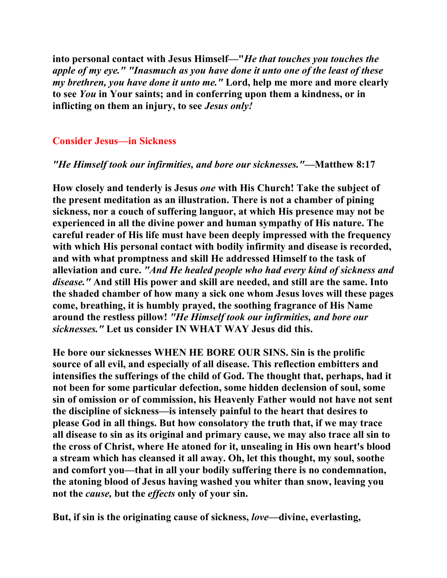**into personal contact with Jesus Himself—"***He that touches you touches the apple of my eye." "Inasmuch as you have done it unto one of the least of these my brethren, you have done it unto me."* **Lord, help me more and more clearly to see** *You* **in Your saints; and in conferring upon them a kindness, or in inflicting on them an injury, to see** *Jesus only!* 

#### **Consider Jesus—in Sickness**

#### *"He Himself took our infirmities, and bore our sicknesses."***—Matthew 8:17**

**How closely and tenderly is Jesus** *one* **with His Church! Take the subject of the present meditation as an illustration. There is not a chamber of pining sickness, nor a couch of suffering languor, at which His presence may not be experienced in all the divine power and human sympathy of His nature. The careful reader of His life must have been deeply impressed with the frequency with which His personal contact with bodily infirmity and disease is recorded, and with what promptness and skill He addressed Himself to the task of alleviation and cure.** *"And He healed people who had every kind of sickness and disease."* **And still His power and skill are needed, and still are the same. Into the shaded chamber of how many a sick one whom Jesus loves will these pages come, breathing, it is humbly prayed, the soothing fragrance of His Name around the restless pillow!** *"He Himself took our infirmities, and bore our sicknesses."* **Let us consider IN WHAT WAY Jesus did this.** 

**He bore our sicknesses WHEN HE BORE OUR SINS. Sin is the prolific source of all evil, and especially of all disease. This reflection embitters and intensifies the sufferings of the child of God. The thought that, perhaps, had it not been for some particular defection, some hidden declension of soul, some sin of omission or of commission, his Heavenly Father would not have not sent the discipline of sickness—is intensely painful to the heart that desires to please God in all things. But how consolatory the truth that, if we may trace all disease to sin as its original and primary cause, we may also trace all sin to the cross of Christ, where He atoned for it, unsealing in His own heart's blood a stream which has cleansed it all away. Oh, let this thought, my soul, soothe and comfort you—that in all your bodily suffering there is no condemnation, the atoning blood of Jesus having washed you whiter than snow, leaving you not the** *cause,* **but the** *effects* **only of your sin.** 

**But, if sin is the originating cause of sickness,** *love***—divine, everlasting,**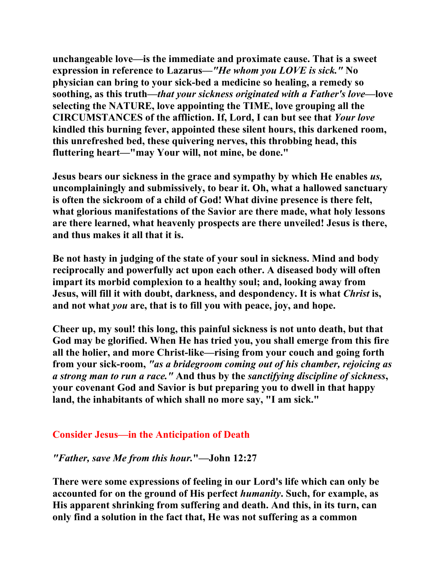**unchangeable love—is the immediate and proximate cause. That is a sweet expression in reference to Lazarus—***"He whom you LOVE is sick."* **No physician can bring to your sick-bed a medicine so healing, a remedy so soothing, as this truth—***that your sickness originated with a Father's love***—love selecting the NATURE, love appointing the TIME, love grouping all the CIRCUMSTANCES of the affliction. If, Lord, I can but see that** *Your love*  **kindled this burning fever, appointed these silent hours, this darkened room, this unrefreshed bed, these quivering nerves, this throbbing head, this fluttering heart—"may Your will, not mine, be done."** 

**Jesus bears our sickness in the grace and sympathy by which He enables** *us,*  **uncomplainingly and submissively, to bear it. Oh, what a hallowed sanctuary is often the sickroom of a child of God! What divine presence is there felt, what glorious manifestations of the Savior are there made, what holy lessons are there learned, what heavenly prospects are there unveiled! Jesus is there, and thus makes it all that it is.** 

**Be not hasty in judging of the state of your soul in sickness. Mind and body reciprocally and powerfully act upon each other. A diseased body will often impart its morbid complexion to a healthy soul; and, looking away from Jesus, will fill it with doubt, darkness, and despondency. It is what** *Christ* **is, and not what** *you* **are, that is to fill you with peace, joy, and hope.** 

**Cheer up, my soul! this long, this painful sickness is not unto death, but that God may be glorified. When He has tried you, you shall emerge from this fire all the holier, and more Christ-like—rising from your couch and going forth from your sick-room,** *"as a bridegroom coming out of his chamber, rejoicing as a strong man to run a race."* **And thus by the** *sanctifying discipline of sickness***, your covenant God and Savior is but preparing you to dwell in that happy land, the inhabitants of which shall no more say, "I am sick."** 

#### **Consider Jesus—in the Anticipation of Death**

#### *"Father, save Me from this hour.***"—John 12:27**

**There were some expressions of feeling in our Lord's life which can only be accounted for on the ground of His perfect** *humanity***. Such, for example, as His apparent shrinking from suffering and death. And this, in its turn, can only find a solution in the fact that, He was not suffering as a common**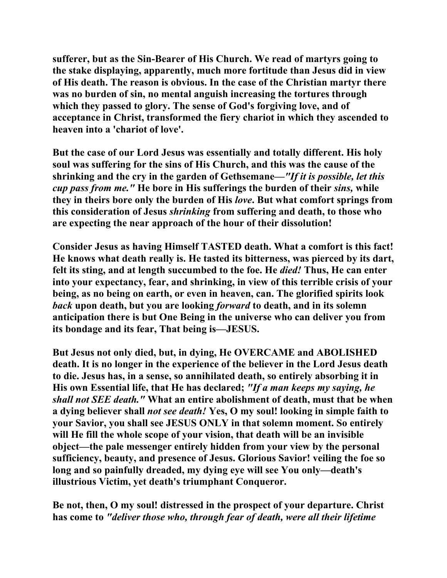**sufferer, but as the Sin-Bearer of His Church. We read of martyrs going to the stake displaying, apparently, much more fortitude than Jesus did in view of His death. The reason is obvious. In the case of the Christian martyr there was no burden of sin, no mental anguish increasing the tortures through which they passed to glory. The sense of God's forgiving love, and of acceptance in Christ, transformed the fiery chariot in which they ascended to heaven into a 'chariot of love'.** 

**But the case of our Lord Jesus was essentially and totally different. His holy soul was suffering for the sins of His Church, and this was the cause of the shrinking and the cry in the garden of Gethsemane—***"If it is possible, let this cup pass from me."* **He bore in His sufferings the burden of their** *sins,* **while they in theirs bore only the burden of His** *love***. But what comfort springs from this consideration of Jesus** *shrinking* **from suffering and death, to those who**  are expecting the near approach of the hour of their dissolution!

**Consider Jesus as having Himself TASTED death. What a comfort is this fact! He knows what death really is. He tasted its bitterness, was pierced by its dart, felt its sting, and at length succumbed to the foe. He** *died!* **Thus, He can enter into your expectancy, fear, and shrinking, in view of this terrible crisis of your being, as no being on earth, or even in heaven, can. The glorified spirits look**  *back* **upon death, but you are looking** *forward* **to death, and in its solemn anticipation there is but One Being in the universe who can deliver you from its bondage and its fear, That being is—JESUS.** 

**But Jesus not only died, but, in dying, He OVERCAME and ABOLISHED death. It is no longer in the experience of the believer in the Lord Jesus death to die. Jesus has, in a sense, so annihilated death, so entirely absorbing it in His own Essential life, that He has declared;** *"If a man keeps my saying, he shall not SEE death."* **What an entire abolishment of death, must that be when a dying believer shall** *not see death!* **Yes, O my soul! looking in simple faith to your Savior, you shall see JESUS ONLY in that solemn moment. So entirely will He fill the whole scope of your vision, that death will be an invisible object—the pale messenger entirely hidden from your view by the personal sufficiency, beauty, and presence of Jesus. Glorious Savior! veiling the foe so long and so painfully dreaded, my dying eye will see You only—death's illustrious Victim, yet death's triumphant Conqueror.** 

**Be not, then, O my soul! distressed in the prospect of your departure. Christ has come to** *"deliver those who, through fear of death, were all their lifetime*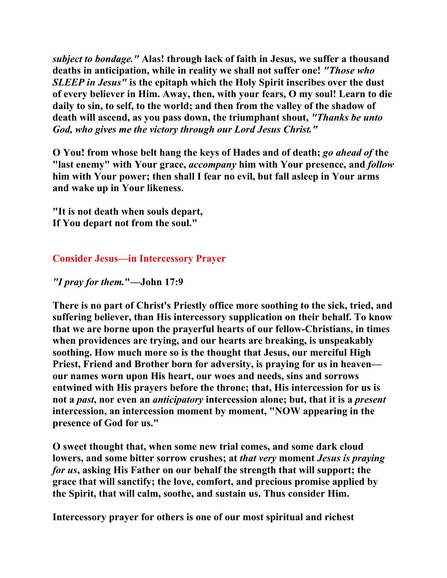*subject to bondage."* **Alas! through lack of faith in Jesus, we suffer a thousand deaths in anticipation, while in reality we shall not suffer one!** *"Those who SLEEP in Jesus"* **is the epitaph which the Holy Spirit inscribes over the dust of every believer in Him. Away, then, with your fears, O my soul! Learn to die daily to sin, to self, to the world; and then from the valley of the shadow of death will ascend, as you pass down, the triumphant shout,** *"Thanks be unto God, who gives me the victory through our Lord Jesus Christ."* 

**O You! from whose belt hang the keys of Hades and of death;** *go ahead of* **the "last enemy" with Your grace,** *accompany* **him with Your presence, and** *follow*  **him with Your power; then shall I fear no evil, but fall asleep in Your arms and wake up in Your likeness.** 

**"It is not death when souls depart, If You depart not from the soul."** 

**Consider Jesus—in Intercessory Prayer** 

*"I pray for them.***"—John 17:9** 

**There is no part of Christ's Priestly office more soothing to the sick, tried, and suffering believer, than His intercessory supplication on their behalf. To know that we are borne upon the prayerful hearts of our fellow-Christians, in times when providences are trying, and our hearts are breaking, is unspeakably soothing. How much more so is the thought that Jesus, our merciful High Priest, Friend and Brother born for adversity, is praying for us in heaven our names worn upon His heart, our woes and needs, sins and sorrows entwined with His prayers before the throne; that, His intercession for us is not a** *past***, nor even an** *anticipatory* **intercession alone; but, that it is a** *present*  **intercession, an intercession moment by moment, "NOW appearing in the presence of God for us."** 

**O sweet thought that, when some new trial comes, and some dark cloud lowers, and some bitter sorrow crushes; at** *that very* **moment** *Jesus is praying for us***, asking His Father on our behalf the strength that will support; the grace that will sanctify; the love, comfort, and precious promise applied by the Spirit, that will calm, soothe, and sustain us. Thus consider Him.** 

**Intercessory prayer for others is one of our most spiritual and richest**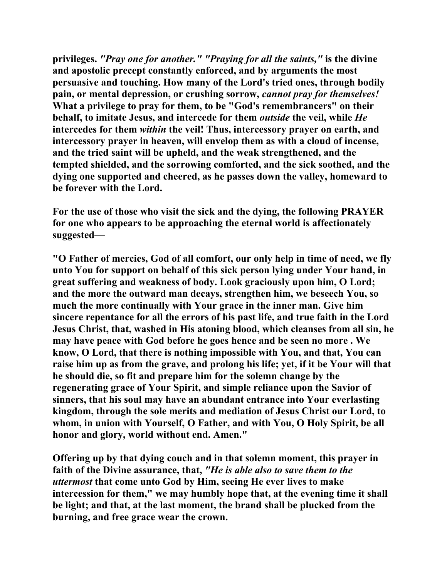**privileges.** *"Pray one for another." "Praying for all the saints,"* **is the divine and apostolic precept constantly enforced, and by arguments the most persuasive and touching. How many of the Lord's tried ones, through bodily pain, or mental depression, or crushing sorrow,** *cannot pray for themselves!*  **What a privilege to pray for them, to be "God's remembrancers" on their behalf, to imitate Jesus, and intercede for them** *outside* **the veil, while** *He*  **intercedes for them** *within* **the veil! Thus, intercessory prayer on earth, and intercessory prayer in heaven, will envelop them as with a cloud of incense, and the tried saint will be upheld, and the weak strengthened, and the tempted shielded, and the sorrowing comforted, and the sick soothed, and the dying one supported and cheered, as he passes down the valley, homeward to be forever with the Lord.** 

**For the use of those who visit the sick and the dying, the following PRAYER for one who appears to be approaching the eternal world is affectionately suggested—** 

**"O Father of mercies, God of all comfort, our only help in time of need, we fly unto You for support on behalf of this sick person lying under Your hand, in great suffering and weakness of body. Look graciously upon him, O Lord; and the more the outward man decays, strengthen him, we beseech You, so much the more continually with Your grace in the inner man. Give him sincere repentance for all the errors of his past life, and true faith in the Lord Jesus Christ, that, washed in His atoning blood, which cleanses from all sin, he may have peace with God before he goes hence and be seen no more . We know, O Lord, that there is nothing impossible with You, and that, You can raise him up as from the grave, and prolong his life; yet, if it be Your will that he should die, so fit and prepare him for the solemn change by the regenerating grace of Your Spirit, and simple reliance upon the Savior of sinners, that his soul may have an abundant entrance into Your everlasting kingdom, through the sole merits and mediation of Jesus Christ our Lord, to whom, in union with Yourself, O Father, and with You, O Holy Spirit, be all honor and glory, world without end. Amen."** 

**Offering up by that dying couch and in that solemn moment, this prayer in faith of the Divine assurance, that,** *"He is able also to save them to the uttermost* **that come unto God by Him, seeing He ever lives to make intercession for them," we may humbly hope that, at the evening time it shall be light; and that, at the last moment, the brand shall be plucked from the burning, and free grace wear the crown.**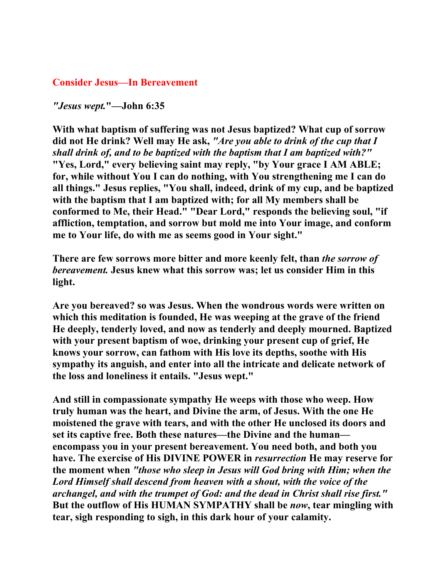#### **Consider Jesus—In Bereavement**

*"Jesus wept.***"—John 6:35** 

**With what baptism of suffering was not Jesus baptized? What cup of sorrow did not He drink? Well may He ask,** *"Are you able to drink of the cup that I shall drink of, and to be baptized with the baptism that I am baptized with?"*  **"Yes, Lord," every believing saint may reply, "by Your grace I AM ABLE; for, while without You I can do nothing, with You strengthening me I can do all things." Jesus replies, "You shall, indeed, drink of my cup, and be baptized with the baptism that I am baptized with; for all My members shall be conformed to Me, their Head." "Dear Lord," responds the believing soul, "if affliction, temptation, and sorrow but mold me into Your image, and conform me to Your life, do with me as seems good in Your sight."** 

**There are few sorrows more bitter and more keenly felt, than** *the sorrow of bereavement.* **Jesus knew what this sorrow was; let us consider Him in this light.** 

**Are you bereaved? so was Jesus. When the wondrous words were written on which this meditation is founded, He was weeping at the grave of the friend He deeply, tenderly loved, and now as tenderly and deeply mourned. Baptized with your present baptism of woe, drinking your present cup of grief, He knows your sorrow, can fathom with His love its depths, soothe with His sympathy its anguish, and enter into all the intricate and delicate network of the loss and loneliness it entails. "Jesus wept."** 

**And still in compassionate sympathy He weeps with those who weep. How truly human was the heart, and Divine the arm, of Jesus. With the one He moistened the grave with tears, and with the other He unclosed its doors and set its captive free. Both these natures—the Divine and the human encompass you in your present bereavement. You need both, and both you have. The exercise of His DIVINE POWER in** *resurrection* **He may reserve for the moment when** *"those who sleep in Jesus will God bring with Him; when the Lord Himself shall descend from heaven with a shout, with the voice of the archangel, and with the trumpet of God: and the dead in Christ shall rise first."*  **But the outflow of His HUMAN SYMPATHY shall be** *now***, tear mingling with tear, sigh responding to sigh, in this dark hour of your calamity.**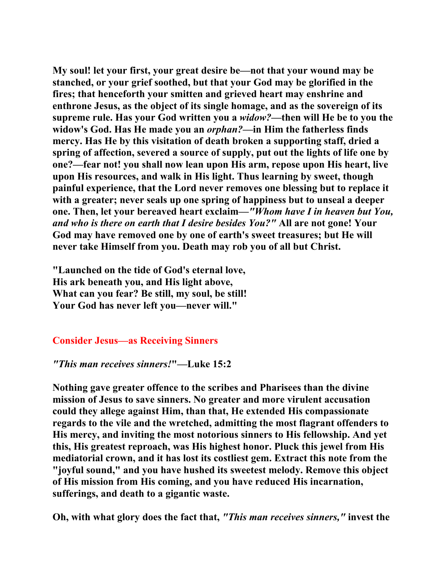**My soul! let your first, your great desire be—not that your wound may be stanched, or your grief soothed, but that your God may be glorified in the fires; that henceforth your smitten and grieved heart may enshrine and enthrone Jesus, as the object of its single homage, and as the sovereign of its supreme rule. Has your God written you a** *widow?***—then will He be to you the widow's God. Has He made you an** *orphan?***—in Him the fatherless finds mercy. Has He by this visitation of death broken a supporting staff, dried a spring of affection, severed a source of supply, put out the lights of life one by one?—fear not! you shall now lean upon His arm, repose upon His heart, live upon His resources, and walk in His light. Thus learning by sweet, though painful experience, that the Lord never removes one blessing but to replace it with a greater; never seals up one spring of happiness but to unseal a deeper one. Then, let your bereaved heart exclaim—***"Whom have I in heaven but You, and who is there on earth that I desire besides You?"* **All are not gone! Your God may have removed one by one of earth's sweet treasures; but He will never take Himself from you. Death may rob you of all but Christ.** 

**"Launched on the tide of God's eternal love, His ark beneath you, and His light above, What can you fear? Be still, my soul, be still! Your God has never left you—never will."** 

# **Consider Jesus—as Receiving Sinners**

#### *"This man receives sinners!***"—Luke 15:2**

**Nothing gave greater offence to the scribes and Pharisees than the divine mission of Jesus to save sinners. No greater and more virulent accusation could they allege against Him, than that, He extended His compassionate regards to the vile and the wretched, admitting the most flagrant offenders to His mercy, and inviting the most notorious sinners to His fellowship. And yet this, His greatest reproach, was His highest honor. Pluck this jewel from His mediatorial crown, and it has lost its costliest gem. Extract this note from the "joyful sound," and you have hushed its sweetest melody. Remove this object of His mission from His coming, and you have reduced His incarnation, sufferings, and death to a gigantic waste.** 

**Oh, with what glory does the fact that,** *"This man receives sinners,"* **invest the**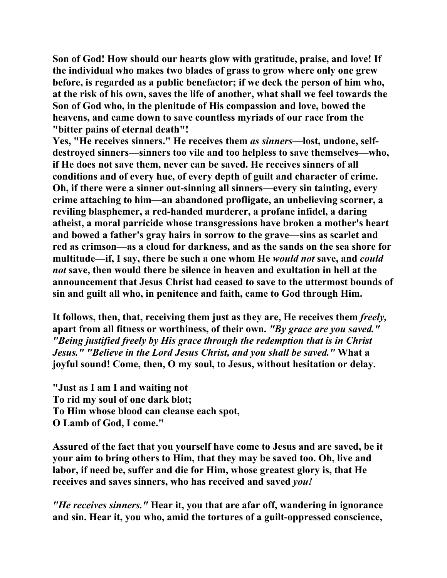**Son of God! How should our hearts glow with gratitude, praise, and love! If the individual who makes two blades of grass to grow where only one grew before, is regarded as a public benefactor; if we deck the person of him who, at the risk of his own, saves the life of another, what shall we feel towards the Son of God who, in the plenitude of His compassion and love, bowed the heavens, and came down to save countless myriads of our race from the "bitter pains of eternal death"!** 

**Yes, "He receives sinners." He receives them** *as sinners***—lost, undone, selfdestroyed sinners—sinners too vile and too helpless to save themselves—who, if He does not save them, never can be saved. He receives sinners of all conditions and of every hue, of every depth of guilt and character of crime. Oh, if there were a sinner out-sinning all sinners—every sin tainting, every crime attaching to him—an abandoned profligate, an unbelieving scorner, a reviling blasphemer, a red-handed murderer, a profane infidel, a daring atheist, a moral parricide whose transgressions have broken a mother's heart and bowed a father's gray hairs in sorrow to the grave—sins as scarlet and red as crimson—as a cloud for darkness, and as the sands on the sea shore for multitude—if, I say, there be such a one whom He** *would not* **save, and** *could not* **save, then would there be silence in heaven and exultation in hell at the announcement that Jesus Christ had ceased to save to the uttermost bounds of sin and guilt all who, in penitence and faith, came to God through Him.** 

**It follows, then, that, receiving them just as they are, He receives them** *freely,*  **apart from all fitness or worthiness, of their own.** *"By grace are you saved." "Being justified freely by His grace through the redemption that is in Christ Jesus." "Believe in the Lord Jesus Christ, and you shall be saved."* **What a joyful sound! Come, then, O my soul, to Jesus, without hesitation or delay.** 

**"Just as I am I and waiting not To rid my soul of one dark blot; To Him whose blood can cleanse each spot, O Lamb of God, I come."** 

**Assured of the fact that you yourself have come to Jesus and are saved, be it your aim to bring others to Him, that they may be saved too. Oh, live and labor, if need be, suffer and die for Him, whose greatest glory is, that He receives and saves sinners, who has received and saved** *you!* 

*"He receives sinners."* **Hear it, you that are afar off, wandering in ignorance and sin. Hear it, you who, amid the tortures of a guilt-oppressed conscience,**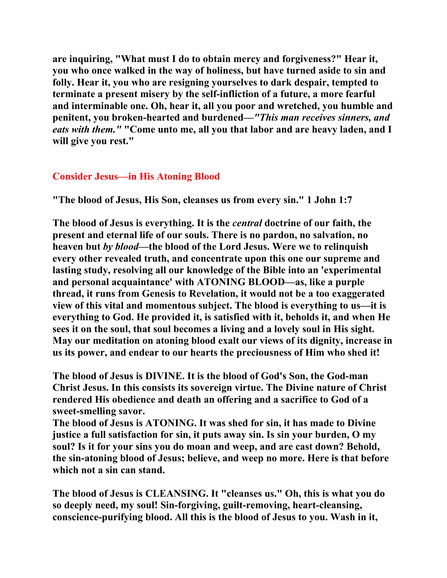**are inquiring, "What must I do to obtain mercy and forgiveness?" Hear it, you who once walked in the way of holiness, but have turned aside to sin and folly. Hear it, you who are resigning yourselves to dark despair, tempted to terminate a present misery by the self-infliction of a future, a more fearful and interminable one. Oh, hear it, all you poor and wretched, you humble and penitent, you broken-hearted and burdened—***"This man receives sinners, and eats with them."* **"Come unto me, all you that labor and are heavy laden, and I will give you rest."** 

# **Consider Jesus—in His Atoning Blood**

**"The blood of Jesus, His Son, cleanses us from every sin." 1 John 1:7** 

**The blood of Jesus is everything. It is the** *central* **doctrine of our faith, the present and eternal life of our souls. There is no pardon, no salvation, no heaven but** *by blood***—the blood of the Lord Jesus. Were we to relinquish every other revealed truth, and concentrate upon this one our supreme and lasting study, resolving all our knowledge of the Bible into an 'experimental and personal acquaintance' with ATONING BLOOD—as, like a purple thread, it runs from Genesis to Revelation, it would not be a too exaggerated view of this vital and momentous subject. The blood is everything to us—it is everything to God. He provided it, is satisfied with it, beholds it, and when He sees it on the soul, that soul becomes a living and a lovely soul in His sight. May our meditation on atoning blood exalt our views of its dignity, increase in us its power, and endear to our hearts the preciousness of Him who shed it!** 

**The blood of Jesus is DIVINE. It is the blood of God's Son, the God-man Christ Jesus. In this consists its sovereign virtue. The Divine nature of Christ rendered His obedience and death an offering and a sacrifice to God of a sweet-smelling savor.** 

**The blood of Jesus is ATONING. It was shed for sin, it has made to Divine justice a full satisfaction for sin, it puts away sin. Is sin your burden, O my soul? Is it for your sins you do moan and weep, and are cast down? Behold, the sin-atoning blood of Jesus; believe, and weep no more. Here is that before which not a sin can stand.** 

**The blood of Jesus is CLEANSING. It "cleanses us." Oh, this is what you do so deeply need, my soul! Sin-forgiving, guilt-removing, heart-cleansing, conscience-purifying blood. All this is the blood of Jesus to you. Wash in it,**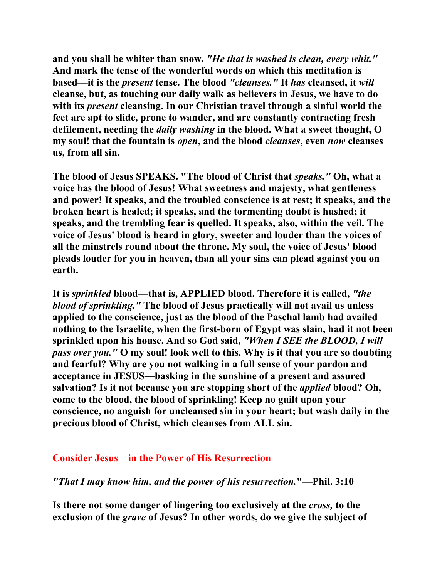**and you shall be whiter than snow.** *"He that is washed is clean, every whit."*  **And mark the tense of the wonderful words on which this meditation is based—it is the** *present* **tense. The blood** *"cleanses."* **It** *has* **cleansed, it** *will*  **cleanse, but, as touching our daily walk as believers in Jesus, we have to do with its** *present* **cleansing. In our Christian travel through a sinful world the feet are apt to slide, prone to wander, and are constantly contracting fresh defilement, needing the** *daily washing* **in the blood. What a sweet thought, O my soul! that the fountain is** *open***, and the blood** *cleanses***, even** *now* **cleanses us, from all sin.** 

**The blood of Jesus SPEAKS. "The blood of Christ that** *speaks."* **Oh, what a voice has the blood of Jesus! What sweetness and majesty, what gentleness and power! It speaks, and the troubled conscience is at rest; it speaks, and the broken heart is healed; it speaks, and the tormenting doubt is hushed; it speaks, and the trembling fear is quelled. It speaks, also, within the veil. The voice of Jesus' blood is heard in glory, sweeter and louder than the voices of all the minstrels round about the throne. My soul, the voice of Jesus' blood pleads louder for you in heaven, than all your sins can plead against you on earth.** 

**It is** *sprinkled* **blood—that is, APPLIED blood. Therefore it is called,** *"the blood of sprinkling."* **The blood of Jesus practically will not avail us unless applied to the conscience, just as the blood of the Paschal lamb had availed nothing to the Israelite, when the first-born of Egypt was slain, had it not been sprinkled upon his house. And so God said,** *"When I SEE the BLOOD, I will pass over you."* **O my soul! look well to this. Why is it that you are so doubting and fearful? Why are you not walking in a full sense of your pardon and acceptance in JESUS—basking in the sunshine of a present and assured salvation? Is it not because you are stopping short of the** *applied* **blood? Oh, come to the blood, the blood of sprinkling! Keep no guilt upon your conscience, no anguish for uncleansed sin in your heart; but wash daily in the precious blood of Christ, which cleanses from ALL sin.** 

# **Consider Jesus—in the Power of His Resurrection**

*"That I may know him, and the power of his resurrection.***"—Phil. 3:10** 

**Is there not some danger of lingering too exclusively at the** *cross,* **to the exclusion of the** *grave* **of Jesus? In other words, do we give the subject of**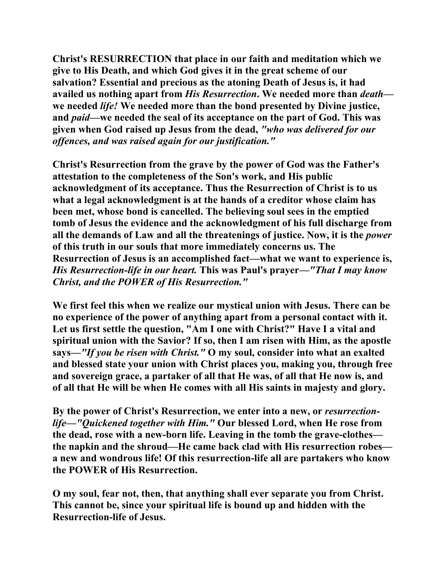**Christ's RESURRECTION that place in our faith and meditation which we give to His Death, and which God gives it in the great scheme of our salvation? Essential and precious as the atoning Death of Jesus is, it had availed us nothing apart from** *His Resurrection***. We needed more than** *death* **we needed** *life!* **We needed more than the bond presented by Divine justice, and** *paid***—we needed the seal of its acceptance on the part of God. This was given when God raised up Jesus from the dead,** *"who was delivered for our offences, and was raised again for our justification."* 

**Christ's Resurrection from the grave by the power of God was the Father's attestation to the completeness of the Son's work, and His public acknowledgment of its acceptance. Thus the Resurrection of Christ is to us what a legal acknowledgment is at the hands of a creditor whose claim has been met, whose bond is cancelled. The believing soul sees in the emptied tomb of Jesus the evidence and the acknowledgment of his full discharge from all the demands of Law and all the threatenings of justice. Now, it is the** *power*  **of this truth in our souls that more immediately concerns us. The Resurrection of Jesus is an accomplished fact—what we want to experience is,**  *His Resurrection-life in our heart.* **This was Paul's prayer—***"That I may know Christ, and the POWER of His Resurrection."* 

**We first feel this when we realize our mystical union with Jesus. There can be no experience of the power of anything apart from a personal contact with it. Let us first settle the question, "Am I one with Christ?" Have I a vital and spiritual union with the Savior? If so, then I am risen with Him, as the apostle says—***"If you be risen with Christ."* **O my soul, consider into what an exalted and blessed state your union with Christ places you, making you, through free and sovereign grace, a partaker of all that He was, of all that He now is, and of all that He will be when He comes with all His saints in majesty and glory.** 

By the power of Christ's Resurrection, we enter into a new, or *resurrectionlife—"Quickened together with Him."* **Our blessed Lord, when He rose from the dead, rose with a new-born life. Leaving in the tomb the grave-clothes the napkin and the shroud—He came back clad with His resurrection robes a new and wondrous life! Of this resurrection-life all are partakers who know the POWER of His Resurrection.** 

**O my soul, fear not, then, that anything shall ever separate you from Christ. This cannot be, since your spiritual life is bound up and hidden with the Resurrection-life of Jesus.**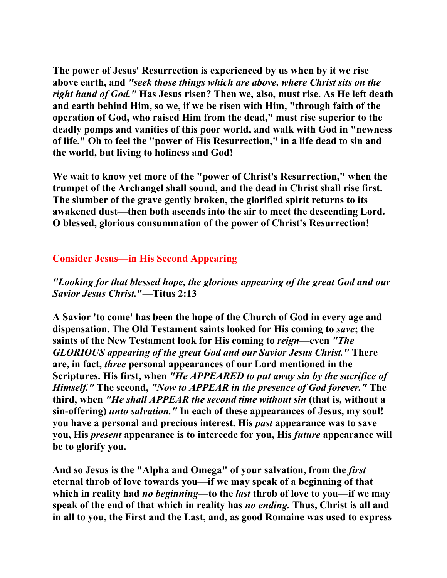**The power of Jesus' Resurrection is experienced by us when by it we rise above earth, and** *"seek those things which are above, where Christ sits on the right hand of God."* **Has Jesus risen? Then we, also, must rise. As He left death and earth behind Him, so we, if we be risen with Him, "through faith of the operation of God, who raised Him from the dead," must rise superior to the deadly pomps and vanities of this poor world, and walk with God in "newness of life." Oh to feel the "power of His Resurrection," in a life dead to sin and the world, but living to holiness and God!** 

**We wait to know yet more of the "power of Christ's Resurrection," when the trumpet of the Archangel shall sound, and the dead in Christ shall rise first. The slumber of the grave gently broken, the glorified spirit returns to its awakened dust—then both ascends into the air to meet the descending Lord. O blessed, glorious consummation of the power of Christ's Resurrection!** 

# **Consider Jesus—in His Second Appearing**

# *"Looking for that blessed hope, the glorious appearing of the great God and our Savior Jesus Christ.***"—Titus 2:13**

**A Savior 'to come' has been the hope of the Church of God in every age and dispensation. The Old Testament saints looked for His coming to** *save***; the saints of the New Testament look for His coming to** *reign***—even** *"The GLORIOUS appearing of the great God and our Savior Jesus Christ."* **There are, in fact,** *three* **personal appearances of our Lord mentioned in the Scriptures. His first, when** *"He APPEARED to put away sin by the sacrifice of Himself."* **The second,** *"Now to APPEAR in the presence of God forever."* **The third, when** *"He shall APPEAR the second time without sin* **(that is, without a sin-offering)** *unto salvation."* **In each of these appearances of Jesus, my soul! you have a personal and precious interest. His** *past* **appearance was to save you, His** *present* **appearance is to intercede for you, His** *future* **appearance will be to glorify you.** 

**And so Jesus is the "Alpha and Omega" of your salvation, from the** *first*  **eternal throb of love towards you—if we may speak of a beginning of that which in reality had** *no beginning***—to the** *last* **throb of love to you—if we may speak of the end of that which in reality has** *no ending.* **Thus, Christ is all and in all to you, the First and the Last, and, as good Romaine was used to express**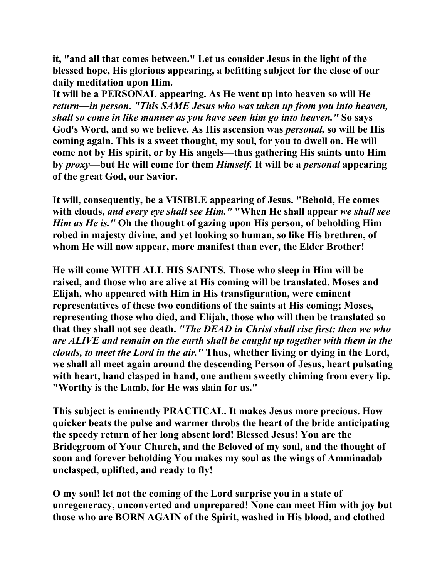**it, "and all that comes between." Let us consider Jesus in the light of the blessed hope, His glorious appearing, a befitting subject for the close of our daily meditation upon Him.** 

**It will be a PERSONAL appearing. As He went up into heaven so will He**  *return—in person***.** *"This SAME Jesus who was taken up from you into heaven, shall so come in like manner as you have seen him go into heaven."* **So says God's Word, and so we believe. As His ascension was** *personal,* **so will be His coming again. This is a sweet thought, my soul, for you to dwell on. He will come not by His spirit, or by His angels—thus gathering His saints unto Him by** *proxy***—but He will come for them** *Himself.* **It will be a** *personal* **appearing of the great God, our Savior.** 

**It will, consequently, be a VISIBLE appearing of Jesus. "Behold, He comes with clouds,** *and every eye shall see Him."* **"When He shall appear** *we shall see Him as He is."* **Oh the thought of gazing upon His person, of beholding Him robed in majesty divine, and yet looking so human, so like His brethren, of whom He will now appear, more manifest than ever, the Elder Brother!** 

**He will come WITH ALL HIS SAINTS. Those who sleep in Him will be raised, and those who are alive at His coming will be translated. Moses and Elijah, who appeared with Him in His transfiguration, were eminent representatives of these two conditions of the saints at His coming; Moses, representing those who died, and Elijah, those who will then be translated so that they shall not see death.** *"The DEAD in Christ shall rise first: then we who are ALIVE and remain on the earth shall be caught up together with them in the clouds, to meet the Lord in the air."* **Thus, whether living or dying in the Lord, we shall all meet again around the descending Person of Jesus, heart pulsating with heart, hand clasped in hand, one anthem sweetly chiming from every lip. "Worthy is the Lamb, for He was slain for us."** 

**This subject is eminently PRACTICAL. It makes Jesus more precious. How quicker beats the pulse and warmer throbs the heart of the bride anticipating the speedy return of her long absent lord! Blessed Jesus! You are the Bridegroom of Your Church, and the Beloved of my soul, and the thought of soon and forever beholding You makes my soul as the wings of Amminadab unclasped, uplifted, and ready to fly!** 

**O my soul! let not the coming of the Lord surprise you in a state of unregeneracy, unconverted and unprepared! None can meet Him with joy but those who are BORN AGAIN of the Spirit, washed in His blood, and clothed**